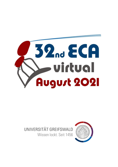

# UNIVERSITÄT GREIFSWALD



Wissen lockt. Seit 1456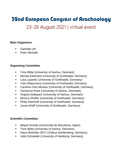## 23-26 August 2021 | virtual event

### **Main Organizers**

- Gabriele Uhl
- Peter Michalik

## **Organizing Committee**

- **•** Trine Bilde (University of Aarhus, Denmark)
- Monika Eberhard (University of Greifswald, Germany)
- **E** Lara Lopardo (University of Greifswald, Germany)
- Yoko Matsumura (University of Greifswald, Germany)
- Carolina Ortiz-Movliav (University of Greifswald, Germany)
- **E** Clemence Rose (University of Aarhus, Denmark)
- Virginia Settepani (University of Aarhus, Denmark)
- Monica Sheffer (University of Greifswald, Germany)
- Philip Steinhoff (University of Greifswald, Germany)
- **■** Jonas Wolff (University of Greifswald, Germany)

#### **Scientific Committee**

- Miquel Arnedo (Universitat de Barcelona, Spain)
- **•** Trine Bilde (University of Aarhus, Denmark)
- Klaus Birkhofer (BTU Cottbus-Senftenberg, Germany)
- **■** Jutta Schneider (University of Hamburg, Germany)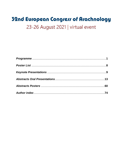## 23-26 August 2021 | virtual event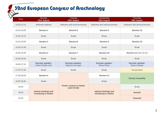| <b>Time</b> | Monday<br>23rd August                         | <b>Tuesday</b><br>24th August                    | Wednesday<br>25th August                      | Thursday<br>26th August           |
|-------------|-----------------------------------------------|--------------------------------------------------|-----------------------------------------------|-----------------------------------|
| 13:00-13:15 | Welcome address                               | Welcome and announcements                        | Welcome and announcements                     | Welcome and announcements         |
| 13:15-14:00 | Session 1                                     | Session 5                                        | Session 8                                     | Session 12                        |
| 14:00-14:15 | <b>Break</b>                                  | <b>Break</b>                                     | <b>Break</b>                                  | <b>Break</b>                      |
| 14:15-15:00 | Session 2                                     | Session 6                                        | Session 9                                     | Session 13                        |
| 15:00-15:30 | <b>Break</b>                                  | <b>Break</b>                                     | <b>Break</b>                                  | <b>Break</b>                      |
| 15:30-16:30 | Session 3                                     | Session 7                                        | Session 10                                    | Session 14 (until 16:15)          |
| 16:30-16:45 | <b>Break</b>                                  | <b>Break</b>                                     | <b>Break</b>                                  | <b>Break</b>                      |
| 16:45-17:15 | Keynote speaker:<br>Anna-Christin Joel        | Keynote speaker:<br>Massimo De Agrò              | Keynote speaker:<br>Elena Piano               | Keynote speaker:<br>Darko Cotoras |
| 17:15-17:30 | <b>Break</b>                                  | <b>Break</b>                                     | <b>Break</b>                                  | Group photo                       |
| 17:30-18:30 | Session 4                                     |                                                  | Session 11                                    |                                   |
| 18:30-18:45 | <b>Break</b>                                  |                                                  | <b>Break</b>                                  | <b>Society Assembly</b>           |
| 18:45       |                                               | <b>Poster session in Gather</b><br>(until 19:30) |                                               | <b>Break</b>                      |
| 19:00       | topical meetings and<br>socializing in Gather |                                                  | topical meetings and<br>socializing in Gather | Awards                            |
| 19:30       |                                               |                                                  |                                               | <b>Farewell</b>                   |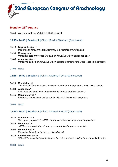

## **Monday, 23rd August**

**13:00** Welcome address: Gabriele Uhl (Greifswald)

#### **13:15 - 14:00 | Session 1 |** Chair: Monika Eberhard (Greifswald)

- **13:15 Beydizada et al. \*** *Use of conditional prey attack strategy in generalist ground spiders*
- **13:30 Mowery et al.** *Parasitoid host preference in native and invasive widow spider egg sacs*
- **13:45 Arabesky et al. \*** *Parasitism of local and invasive widow spiders in Israel by the wasp* Philolema latrodecti
- **14:00** break

#### **14:15 - 15:00 | Session 2 |** Chair: Andreas Fischer (Vancouver)

- **14:15 Michálek et al.** *The composition and specific toxicity of venom of araneophagous white-tailed spiders*
- **14:30 Jäger et al. \*** *CHC composition of insect prey cuticle influences predator success*
- **14:45 Mangliers et al. \*** *Silk-borne chemicals of spider nuptial gifts elicit female gift acceptance*
- **15:00** break

#### **15:30 - 16:30 | Session 3 |** Chair: Andreas Fischer (Vancouver)

- **15:30 Melcher et al. \*** *Trust your gut (content) - DNA analyses of spider diet in permanent grasslands*
- **15:45 Weber et al. \*** *eDNA-based monitoring of canopy associated arthropod communities*
- **16:00 Willmott et al. \*** *Poisoning the web: spiders in a polluted world*
- **16:15 Vanthournout et al.** *SPIN-CITY: urbanisation effects on colour, size and web building in* Araneus diadematus
- **16:30** break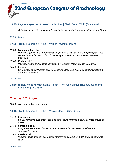#### **16:45** *Keynote speaker:* **Anna-Christin Joel |** Chair: Jonas Wolff (Greifswald)

*Cribellate spider silk – a biomimetic inspiration for production and handling of nanofibres*

#### **17:15** break

**17:30 - 18:30 | Session 4 |** Chair: Martina Pavlek (Zagreb)

#### **17:30 Satkunanathan et al. \***

*Multilocus genetic and morphological phylogenetic analysis of the jumping spider tribe Nannenini with the description of one new genus and four new species (Araneae: Salticidae)*

- **17:45 Korba et al. \*** *Phylogeography and species delimitation in Western Mediterranean Tarantulas*
- **18:00 Fet et al.** *On the trace of old Russian collectors: genus* Othochirus *(Scorpiones: Buthidae) from Central Asia and Iran*
- **18:15** break
- **18:30 topical meeting with Stano Pekár** (The World Spider Trait database) **and socializing in Gather**

#### **Tuesday, 24th August**

**13:00** Welcome and announcements

#### **13:15 - 14:00 | Session 5 |** Chair: Monica Mowery (Beer-Sheva)

- **13:15 Fischer et al. \*** *Sexual conflict in false black widow spiders - aging females manipulate mate choice by males*
- **13:30 Sentenská et al.** *Risky business: males choose more receptive adults over safer subadults in a cannibalistic spider*

#### **13:45 Matzke et al. \***

*Multiple effects of sperm competition intensity on paternity in a polyandrous gift-giving spider*

**14:00** break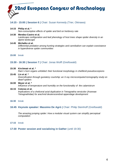

#### **14:15 - 15:00 | Session 6 |** Chair: Susan Kennedy (Trier, Okinawa)

#### **14:15 Philip et al. \***

*Non-consumptive effects of spider and bird on herbivory rate*

#### **14:30 Mendez-Castro et al.**

*Landscape configuration and leaf phenology of host trees shape spider diversity in an alpine landscape*

#### **14:45 Michalko et al.**

*Differential predation among hunting strategies and cannibalism can explain coexistance in hyperdiverse spider communities*

**15:00** break

#### **15:30 - 16:30 | Session 7 |** Chair: Jonas Wolff (Greifswald)

#### **15:30 Kirchmair et al. \***

*Ram´s horn organs unfolded: their functional morphology in cheliferid pseudoscorpions*

#### **15:45 Lin et al. \***

*Diversification through gustatory courtship: an X-ray microcomputed tomography study on dwarf spiders*

#### **16:00 Meyer et al. \*** *Influence of temperature and humidity on the functionality of the calamistrum*

#### **16:15 Cotoras et al.**

*Implications of a cheliceral axial duplication in* Tetragnatha versicolor *(Araneae: Tetragnathidae) for arachnid deuterocerebral appendage development*

**16:30** break

#### **16:45** *Keynote speaker:* **Massimo De Agrò |** Chair: Philip Steinhoff (Greifswald)

*The amazing jumping spider: How a modular visual system can simplify perceptual computation*

**17:15** break

#### **17:30 Poster session and socializing in Gather** (until 19:30)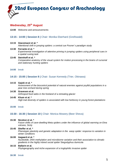#### **Wednesday, 25th August**

**13:00** Welcome and announcements

#### **13:15 - 14:00 | Session 8 |** Chair: Monika Eberhard (Greifswald)

#### **13:15 Giacomazzi et al. \***

*Attentional shift in jumping spiders: a central cue Posner´s paradigm study*

## **13:30 Ferrante et al. \***

*Experimental investigation of attentive priming in jumping spiders using peripheral cues in a spatial cueing task*

#### **13:45 Steinhoff et al. \*** *Comparative anatomy of the visual system for motion processing in the brains of cursorial and stationary hunting spiders*

#### **14:00** break

#### **14:15 - 15:00 | Session 9 |** Chair: Susan Kennedy (Trier, Okinawa)

**14:15 Gajski et al. \***

*Assessment of the biocontrol potential of natural enemies against psyllid populations in a pear tree orchard during spring*

#### **14:30 Gravesen et al.** *Arthropod food webs in the foreland of a retreating glacier*

**14:45 Khum et al. \*** *High trait diversity of spiders is associated with low herbivory in young forest plantations*

#### **15:00** break

#### **15:30 - 16:30 | Session 10 |** Chair: Monica Mowery (Beer Sheva)

**15:30 Nicolosi et al. \***

*Future shifts of cave-dwelling* Meta *spiders under the influence of global warming on Etna volcano, Sicily*

#### **15:45 Sheffer et al. \***

*Phenotypic plasticity and genetic adaptation in the wasp spider: response to variation in winter conditions*

#### **16:00 Aagaard et al. \***

*Nucleotide, DNA methylation and microbiome variation and their association to climatic gradients in the highly inbred social spider* Stegodyphus dumicola

#### **16:15 Ballarin et al.**

*Phylogeography and niche expansion of a troglophilic invasive spider*

**16:30** break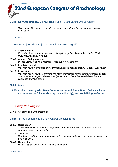

#### **16:45** *Keynote speaker:* **Elena Piano |** Chair: Bram Vanthournout (Ghent)

*Suviving city life: spiders as model organisms to study ecological dynamics in urban ecosystems*

**17:15** break

#### **17:30 - 18:30 | Session 11 |** Chair: Martina Pavlek (Zagreb)

- **17:30 Aharon et al. \*** *Exceptional subterranean speciation of cryptic troglobitic* Tegenaria *Latreille, 1804 (Araneae: Agelenidae) in Israel*
- **17:45 Armiach Steinpress et al. \*** Lycosa *Latreille, 1804 (Lycosidae) - "the out of Africa theory"*
- **18:00 Propistsova et al. \*** *Phylogeny and systematics of the* Pardosa lugubris *species group (Araneae: Lycosidae)*

#### **18:15 Privet et al. \***

*Phylogeny of wolf spiders from the Hawaiian archipelago inferred from multilocus genetic data: small- and large-scale relationships between spiders living on different islands, volcanoes and lava caves*

- **18:30** break
- **18:45 topical meeting with Bram Vanthournout and Elena Piano** (What we know and what we don't know about spiders in the city)**, and socializing in Gather**

## **Thursday, 26th August**

**13:00** Welcome and announcements

#### **13:15 - 14:00 | Session 12 |** Chair: Ondřej Michálek (Brno)

#### **13:15 Opris et al. \***

*Spider community in relation to vegetation structure and urbanization pressures in a protected raised bog in Scotland*

#### **13:30 Zvik et al.**

*Distribution and habitat characteristics of the myrmecophile scorpion* Birulatus israelensis *Lourenço 2002*

#### **13:45 Hacala et al. \***

*Driver of spider diversities on maritime heathland*

#### **14:00** break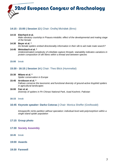

#### **14:15 - 15:00 | Session 13 |** Chair: Ondřej Michálek (Brno)

**14:15 Eberhard et al.**

*Male vibratory courtship in* Pisaura mirabilis*: effect of the developmental and mating stage of the female*

- **14:30 Beyer et al. \*** *Do female spiders embed directionality information in their silk to aid male mate search?*
- **14:45 Weissbach et al. \*** *Underestimated complexity of cribellate capture threads: stainability indicates variations in protein composition of silk fibres within a thread and between species*
- **15:00** break

#### **15:30 - 16:15 | Session 14 |** Chair: Theo Blick (Hummeltal)

- **15:30 Milano et al. \*** *Spider conservation in Europe*
- **15:45 Arvidsson et al. \*** *Fallows conserve the taxonomic and functional diversity of ground-active linyphiid spiders in agricultural landscapes*
- **16:00 Faiz et al.** *Diversity of spiders in Pir Chinasi National Park, Azad Kashmir, Pakistan*
- **16:15** break

#### **16:45** *Keynote speaker:* **Darko Cotoras |** Chair: Monica Sheffer (Greifswald)

*Intraspecific niche partition without speciation: individual level web polymorphism within a single island spider population*

#### **17:15 Group photo**

- **17:30 Society Assembly**
- **18:45** break
- **19:00 Awards**
- **19:30 Farewell**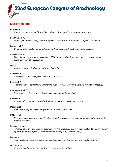

#### **List of Posters**

#### **Bartel et al. \***

*Laniatorean harvestmen (Arachnida: Opiliones) from mid-Cretaceous Burmese amber*

#### **Ben Othmen, A.**

*Cryptic genetic diversity of the North African scorpion,* Buthus occitanus *(Scorpiones: Buthidae)*

#### **Brown et al. \***

*Genomic determination of reproductive mode in facultatively parthenogenetic Opiliones*

#### **Castellucci et al. \***

*The enigmatic genus* Mastigusa *Menge, 1854 (Araneae, Hahniidae): phylogenetic placement and provisional taxonomical revision*

#### **Cera, I.**

Arctosa cinerea *- distribution and status in Latvia*

#### **Ganem et al. \***

Loxosceles*: a true troglophile, opportunist, or both?*

#### **Geci et al. \***

*A contribution to spider fauna (Arachnida: Araneae) from Bjeshkët e Nemuna mountains (Kosovo)*

#### **Hannappel et al. \***

*Mud dauber nests as sources of spiders in mercury monitoring studies*

#### **Hopfe et al. \***

*Diversity of orb weaving spiders' silk tensile properties on a climatic gradient*

#### **Magar et al.**

*New records of jumping spiders (Araneae: Salticidae) from Nepal*

#### **Müller et al.**

*How do spiders taste and smell? Insights from ultrastructure of tip-pore leg sensilla in the wasp spider* Argiope bruennichi

#### **Nyffenegger et al. \***

*Adhesion of* Larinioides sclopetarius *(Araneae, Araneidae) capture thread in relation to pull-off velocity of glass plates and elytra of* Tenebrio molitor *(Coleoptera, Tenebrionidae)*

#### **Rose et al. \***

Araneus diadematus *microbiome composition and its possible changes due to urbanization*

#### **Shafaie et al.**

*New data on the genus* Pardosa *from Iran (Araneae, Lycosidae)*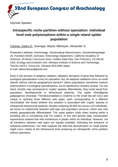

## **Intraspecific niche partition without speciation: individual level web polymorphism within a single island spider population**

Cotoras, Darko D.; Suenaga, Miyuki; Mikheyev, Alexander S.

Presenter's address: *Arachnology. Senckenberg Naturmuseum, Senckenberganlage 25, Frankfurt 60325, Germany; Entomology Department, California Academy of Sciences, 55 Music Concourse Drive, Golden Gate Park, San Francisco, CA 94118,*  USA; Ecology and Evolution Unit, Okinawa Institute of Science and Technology, *Tancha 1919-1, Onna-son, Okinawa 904-0495 Japan* E-mail: darkocotoras@gmail.com

Early in the process of adaptive radiation, allopatric disruption of gene flow followed by ecological specialization is key for speciation; but, do adaptive radiations occur on small islands without internal geographical barriers? Island populations sometimes harbour polymorphism in ecological specializations, but its significance remains unclear. On one hand, morphs may correspond to 'cryptic' species. Alternatively, they could result from population, developmental or behavioural plasticity. The spider *Wendilgarda galapagensis* (Araneae, Theridiosomatidae) is endemic to the small Isla del Coco and unique in spinning three different web types, each corresponding to a different microhabitat. We tested whether this variation is associated with 'cryptic' species or intraspecific behavioural plasticity. Despite analysing 36,803 loci across 142 individuals, we found no relationship between web type and population structure, which was only weakly geographically differentiated. The same pattern holds when looking within a sampling site or considering only Fst outliers. In line with genetic data, translocation experiments showed that web architecture is plastic within an individual. However, not all transitions between web types are equally probable, indicating the existence of individual preferences. Our data supports the idea that diversification on small islands might occur mainly at the behavioural level producing an intraspecific niche partition without speciation.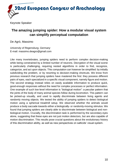

## **The amazing jumping spider: How a modular visual system can simplify perceptual computation**

De Agrò, Massimo

*University of Regensburg, Germany* E-mail: massimo.deagro@gmail.com

Like many invertebrates, jumping spiders need to perform complex decision-making while being constrained by a limited number of neurons. Decryption of the visual scene is particularly challenging, requiring nested algorithms in order to find, recognize, categorize, and act upon objects. This computation can however be simplified: by initially subdividing the problem, or by resorting to decision-making shortcuts. We know from previous research that jumping spiders have mastered the first: they possess different pairs of eyes, each specialized in a specific visual component, namely figure and motion. The second strategy instead relies on easily available information to produce quick, good-enough responses without the need for complex processes or perfect information. One example of such low-level information is "biological motion": a peculiar pattern that the joints of the body of many animal species follow during locomotion. This pattern can be picked-up visually, and used to rapidly discriminate between living agents and randomly moving objects. We tested the ability of jumping spiders to detect biological motion using a spherical treadmill setup. We observed whether the animals would produce a body saccade towards either a biologically- or randomly-moving stimulus. We found that jumping spiders are clearly able to discriminate between biological and nonbiological motion. Crucially, the discrimination task is performed by the secondary eyes alone, suggesting that these eyes are not just motion detectors, but are also capable of motion discrimination. This results pose crucial questions about the evolutionary history of this discrimination ability, as well as new perspectives on salticids' visual system.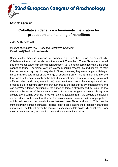

## **Cribellate spider silk – a biomimetic inspiration for production and handling of nanofibres**

Joel, Anna-Christin

*Institute of Zoology, RWTH Aachen University, Germany* E-mail: joel@bio2.rwth-aachen.de

Spiders offer many inspirations for humans, e.g. with their tough biomaterial silk. Cribellate spiders produce silk nanofibres about 20 nm thick. These fibres are so small that the typical spider silk protein configuration (i.e. β-sheets combined with  $α$ -helices) cannot be found. The fibres' very low elastic modulus reflects this and fits well to their function in capturing prey. As very elastic fibres, however, they are arranged with larger fibres that dissipate most of the energy of struggling prey. This arrangement into one functional unit requires highly orchestrated spinneret movements for sewing up to eight different silks (and many more fibres) into one thread. As cribellate spiders do not produce glue to capture prey, the prey adheres to the nanofibres by entanglement and van der Waals forces. Additionally, the adhesion force is strengthened by using the low viscous substances of the cuticular waxes of the prey as glue. However, though the spiders are brushing over the fibres with a comb (calamistrum), the spiders themselves do not adhere to their capture thread. The calamistrum is covered with a ripple pattern, which reduces van der Waals forces between nanofibres and comb. This can be mimicked with technical surfaces, leading to novel tools easing the production of artificial nanofibres. The talk will cover the complete story of cribellate spider silk nanofibres, from their protein chemistry to biological use and biomimetic inspirations.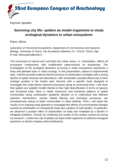

## **Surviving city life: spiders as model organisms to study ecological dynamics in urban ecosystems**

Piano, Elena

*Laboratory of Terrestrial Ecosystems, Department of Life Sciences and Systems Biology, University of Torino, Via Accademia Albertina 13, I-10123, Torino, Italy* E-mail: elena.piano@unito.it

The conversion of natural and rural land into urban areas, i.e. urbanization, affects all ecosystem components, with multifaceted repercussions on biodiversity. The investigation of the ecological dynamics occurring in urban ecosystems represents a lively and debated topic in urban ecology. In this presentation, based on experimental data, I will first provide evidence that the process of urbanization correlates with a strong decline of spider diversity and abundance, with remarkable cascade effects due to their strategic position in the trophic web. Second, with a specific study designed to investigate the urban-driven selective processes acting at community level, I will show that spiders are suitable models thanks to their high diversification in terms of species and functional traits. More in detail, taxonomic and functional patterns of spider communities along urbanization gradients allowed us to understand that different selective mechanisms, namely habitat filtering and stochastic processes, are simultaneously acting on biotic communities in urban habitats. Third, I will report the results of an ongoing study planned to investigate the effects of environmental changes caused by urbanization on intraspecific body size variation of wolf spiders. In particular, we observed a positive effect of urbanization on body size mediated by a decline in intraguild predation. Overall, by combining the results of the studies carried out during my research, I outline the role of spiders as ideal model organisms to address ecological questions on factors shaping urban biodiversity.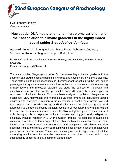

Evolutionary Biology *Oral presentation*

## **Nucleotide, DNA methylation and microbiome variation and their association to climatic gradients in the highly inbred social spider** *Stegodyphus dumicola*

Aagaard, Anne; Liu, Shenglin; Lund, Marie Braad; Schramm, Andreas; Verhoeven, Koen; Bechsgaard, Jesper; Bilde, Trine

Presenter's address: *Section for Genetics, Ecology and Evolution, Biology, Aarhus University* E-mail: anneaagaard@bio.au.dk

The social spider, *Stegodyphus dumicola*, live across large climatic gradients in the southern part of Africa despite being highly inbred and having very low genetic diversity. These facts point to plastic responses as likely important for optimizing the local spider phenotype. Using environmental association studies that can reveal correlations among climatic factors and molecular variants, we study the sources of molecular and microbiome variation that has the potential to raise differential host phenotypes in response to the local climate. Thus, we have analyzed population divergences in nucleotide, DNA methylation and microbiome variation among six populations across environmental gradients in relation to the divergence in local climate factors. We find that, despite low nucleotide diversity, its distribution across populations suggests local adaptation to climate. Nucleotide variation seems to be especially important in relation to mean and maximum temperature. Similarly, DNA methylation patterns are consistent with playing a role in responses to local climates, and suggest locally adapted or plastically induced variation in DNA methylation profiles. As opposed to nucleotide variation, correlation patterns suggest that DNA methylation variation may be more important in relation to minimum temperature and precipitation. Microbiome variation does not yield strong signals when correlating with local climate, but some relation with precipitation may be present. These results may give rise to hypotheses about the underlying mechanisms for adaptive responses to the given climate, which may subsequently be tested in e.g. a common garden study.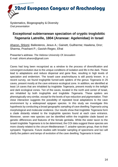Systematics, Biogeography & Diversity *Oral presentation*

## **Exceptional subterranean speciation of cryptic troglobitic**  *Tegenaria* **Latreille, 1804 (Araneae: Agelenidae) in Israel**

Aharon, Shlomi; Ballesteros, Jesus A.; Gainett, Guilherme; Hawlena, Dror; Sharma, Prashant P.; Gavish-Regev, Efrat

Presenter's address: *The Hebrew University Of Jerusalem* E-mail: shlomi.aharon@gmail.com

Caves had long been recognized as a window to the process of diversification and convergent evolution due to the unique conditions of isolation and life in the dark. These lead to adaptations and reduce dispersal and gene flow, resulting in high levels of speciation and endemism. The Israeli cave arachnofauna is still poorly known. In a recent survey, we found troglophile funnel-web spiders of the genus *Tegenaria* in 25 caves, present mostly at the cave entrance ecological zone. In addition, we identified at least 14 caves that are inhabited by troglobite *Tegenaria*, present mostly in the twilight and dark ecological zones. Ten of the caves, located in the north and center of Israel, are inhabited by both troglophile and troglobite *Tegenaria*. These spiders are phenotypically very similar, except for the levels of eye reduction and pigmentation. Their close interaction suggests the possibility of repeated local adaptations to the cave environment by a widespread epigean species. In this study we investigate this hypothesis by conducting a broad geographic sampling of cave dwelling *Tegenaria* using morphological and molecular evidence. Our results show that troglobite *Tegenaria* form a clade distantly related to the troglophile species found at each cave entrance. Moreover, seven new species can be identified within the troglobite clade based on genetic differences and features of the female genitalia. While the sister taxon to the Israeli troglobite *Tegenaria* is to be determined, the COI data suggest these species are more closely related to the circum-Mediteranean *T. ariadne* species group, than to their sympatric *Tegenaria*. Future studies with broader sampling of specimens and loci will clarify the pattern and tempo of evolution of the cave dwelling *Tegenaria* in Israel.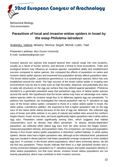

Behavioral Biology *Oral presentation*

## **Parasitism of local and invasive widow spiders in Israel by the wasp** *Philolema latrodecti*

Arabesky, Valeria; Mowery, Monica; Segoli, Michal; Lubin, Yael

Presenter's address: *Ben Gurion University* E-mail: varabesky@gmail.com

Invasive species are species that expand beyond their natural range into new locations, usually as a result of human actions, and become a threat to local ecosystems. Traits and ecological factors may influence an invasive species' competitive ability and establishment success compared to native species. We compared the effects of parasitism on native and invasive widow spider species and examined how population density affects parasitism rates. The brown widow spider, *Latrodectus geometricus*, is a synanthropic species, which has now established around the world. The high success of the brown widow spider in invading new environments may be due to traits such as high fecundity, dispersal, and potentially also due to spiky silk structures on the egg sac surface that may defend against parasitism. *Philolema latrodecti* is a generalist parasitoid wasp that parasitizes egg sacs of widow spider species around the world. We hypothesize that the brown widow may have an advantage over native widow species within its invasive range due to its defenses against egg sac parasitoids. To address this hypothesis, we investigated the natural parasitism rate by *P. latrodecti* on egg sacs of the brown widow spider, compared to those of a native widow spider in Israel, the white widow, *Latrodectus pallidus*. We expected to find a higher parasitism rate on the egg sacs of the native white widow because of the lack of egg sac defenses. We collected egg sacs of brown and white widows in six pairs of natural and settled sites around the northern Negev Desert, Israel. Across sites, we found significantly higher parasitism rate in white widow egg sacs. Parasitism varied significantly among sites, which suggests that habitat characteristics such as density may affect parasitism. To assess density-dependent parasitism, we collected white widow egg sacs from ten sites across the Negev Desert, measured population density, and parasitism rates. For comparison, we measured population density in four brown widow spider populations in disturbed, settled habitats. In white widow spiders, denser sites had a higher parasitism rate, although at the individual level, parasitized egg sacs located in dense patches had fewer parasitoids emerge compared to more isolated egg sacs. In contrast, in the brown widow populations, which were extremely dense, we did not find any parasitism. These results indicate that there is a high parasitoid burden and a strong connection between parasitism by *P. latrodecti* wasps and spider population density in white widow populations, but that even dense, invasive brown widow populations are not heavily parasitized, which may contribute to their invasion success.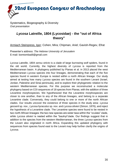Systematics, Biogeography & Diversity *Oral presentation*

## *Lycosa* **Latreille, 1804 (Lycosidae) - the "out of Africa theory"**

Armiach Steinpress, Igor; Cohen, Mira; Chipman, Ariel; Gavish-Regev, Efrat

Presenter's address: *The Hebrew University of Jerusalem* E-mail: bomtombadil@gmail.com

*Lycosa* Latreille, 1804 *sensu stricto* is a clade of large burrowing wolf spiders, found in the old world. Currently, the highest diversity of *Lycosa* is reported from the Mediterranean basin. A phylogeny published by Planas et al. in 2013 placed the west Mediterranean *Lycosa* species into four lineages, demonstrating that each of the five species found in western Europe is nested within a north African lineage. Our study aimed at testing how many *Lycosa* species are found in the southern Levant (Israel, Jordan, Palestine and Sinai peninsula), and to explore their phylogenetic relation to the western Mediterranean species. For this purpose we reconstructed a molecular phylogeny based on COI sequences of 18 species from Planas, with the addition of three Levantine morphospecies. We hypothesized that the Levantine morphospecies are closer to one another, than to any of the African lineages, and belong to a separate Levantine clade. Conversely, they could belong to one or more of the north African clades. Our results uncover the existence of three species in the study area: *Lycosa gesserit* sp. nov., *Lycosa hyraculus* sp. nov. and *Lycosa olivieri* (Simon, 1876), and reject the hypothesis of a Levantine clade. The Levantine species were found to be nested in two north African lineages: the two new species are sister taxa within the "oculata" clade, while *Lycosa olivieri* is nested within the "baulnyi"clade. Our findings suggest that in addition to the species from the western Mediterranean, the three *Lycosa* species from the Levant also originated in north Africa. Expanding this updated phylogeny with sequences from species found east to the Levant may help further clarify the origins of *Lycosa*.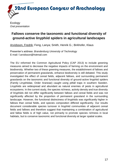

**Ecology** *Oral presentation*

## **Fallows conserve the taxonomic and functional diversity of ground-active linyphiid spiders in agricultural landscapes**

Arvidsson, Fredrik; Feng, Lanya; Smith, Henrik G.; Birkhofer, Klaus

Presenter's address: *Brandenburg University of Technology* E-mail: f.arvidsson@hotmail.com

The EU reformed the Common Agricultural Policy (CAP 2013) to include greening measures aimed to decrease the negative impacts of farming on the environment and biodiversity. Whether two of these greening measures, the establishment of fallows and preservation of permanent grasslands, enhance biodiversity is still debated. This study investigated the effect of cereal fields, adjacent fallows, and surrounding permanent grasslands on the taxonomic and functional diversity of ground-active linyphiid spiders (Family Linyphiidae, Order Araneae) caught using pitfall traps in southern Sweden. Linyphiids are widespread and abundant as natural enemies of pests in agricultural ecosystems. In the current study, the species richness, activity density and true diversity of linyphiids did not differ significantly between fallows and cereal fields and was not significantly affected by the proportion of permanent grassland in the surrounding landscape. However, the functional distinctness of linyphiids was significantly higher in fallows than cereal fields, and species composition differed significantly. Our results document considerable species turnover in linyphiid communities of adjacent cereal fields and fallows and therefore suggest that maintaining a combination of agricultural and fallow fields is of high value, not primarily to promote species richness in local habitats, but to conserve taxonomic and functional diversity at larger spatial scales.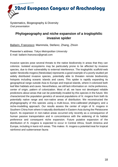Systematics, Biogeography & Diversity *Oral presentation*

## **Phylogeography and niche expansion of a troglophilic invasive spider**

Ballarin, Francesco; Mammola, Stefano; Zhang, Zhixin

Presenter's address: *Tokyo Metropolitan University* E-mail: ballarin.francesco@gmail.com

Invasive species pose several threats to the native biodiversity in areas that they can colonize. Isolated ecosystems may be particularly prone to be affected by invasive species, due to their vulnerability to external interference. The troglophilic scaffold-web spider *Nesticella mogera* (Nesticidae) represents a good example of a poorly studied yet widely distributed invasive species, potentially able to threaten remote biodiversity hotspots including oceanic islands and caves. This spider is rapidly expanding its geographical range outside Asia to Europe and tropical islands, where it colonized both leaf litter habitats and caves. Nevertheless, we still lack information on niche preference, center of origin, pattern of colonization. Most of all, we have not developed reliable predictions about areas that can be potentially invaded by this species in the future. We characterized the population genetics of several populations of *N. mogera* from both its potentially native range and non-native areas of distribution. We reconstructed the phylogeography of this species using a multi-locus, time-calibrated phylogeny and a niche-modelling approach. Our results assess the center of origin of *N. mogera* in Southern China from where it naturally distributed in Eastern Asia during the Pleistocene Epoch. Its expansion in non-native areas occurred only recently as a consequence of human passive transportation and in concomitance with the widening of its habitat preference and consequent niche expansion. Future putative expansion of the distribution of *N. mogera* is expected to occur in Central Africa, South America and Europe, including in karst-rich areas. This makes *N. mogera* a potential treat for tropical rainforest and subterranean fauna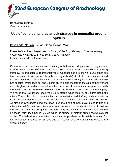

Behavioral Biology *Oral presentation*

## **Use of conditional prey attack strategy in generalist ground spiders**

Beydizada, Narmin; Pekár, Stano; Řezáč, Milan

Presenter's address: *Department of Botany & Zoology, Faculty of Science, Masaryk University, Kotlářská 2, 611 37 Brno, Czech Republic* E-mail: beydizade.n@gmail.com

Generalist predators have evolved a variety of behavioral adaptations for prey capture to effectively subdue different prey types. Such predators use a conditional hunting strategy. Among spiders, representatives of Gnaphosidae are known to use either bite (subdue prey with venom) or silk (subdue prey with silk) attack. In this paper we aimed to test a hypothesis of conditional use of prey capture strategy (bite versus silk attack)in two species, *Drassodes* sp. and *Zelotes* sp. We also measured the size of their venom and silk glands in order to reveal whether behavioural adaptations are paralleled with metabolic ones. As prey we used other spiders as these are considered dangerous prey. We found that *Drassodes* used mainly silk attack, while majority of *Zelotes* used bite attack. The probability to use silk attack increased with predator/prey body size ratio in *Drassodes* but not in *Zelotes*. Then we disabled individuals of both species to use silk. All disabled *Drassodes* used bite attack but about half of individuals aimed to use silk attack first. All *Zelotes* used bite attack but none aimed to use silk attack first. At last we measured venom and silk glands. We found significantly larger relative size of venom glands in *Drassodes* than in *Zelotes*, while the number of piriform silk glands was almost similar. The behavioural adaptations are thus not paralleled with metabolic ones. Our results suggest that both *Drassodes* and *Zelotes* can use both attack strategies with a similar efficacy.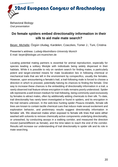

Behavioral Biology *Oral presentation*

## **Do female spiders embed directionality information in their silk to aid male mate search?**

Beyer, Michelle; Özgün Uludag, Kardelen; Czaczkes, Tomer J.; Tuni, Cristina

Presenter's address: *Ludwig-Maximilians-University Munich* E-mail: beyer@biologie.uni-muenchen.de

Locating potential mating partners is essential for animal reproduction, especially for species leading a solitary lifestyle with individuals being widely dispersed in their habitats. While it is possible to rely on random search for finding mates, a particularly potent and target-oriented means for mate localization lies in following chemical or mechanical trails that are left in the environment by conspecifics, usually the females. However, upon encountering a female's trail, a trail-following male is forced to choose a direction in which to proceed, potentially halving its chances to finding the female. One way to increase these chances is the embedding of directionality information in a trail, a rarely observed trail feature whose encryption in trails remains poorly understood. Spider silk represents a well-known medium for trail-following, being commonly used exclusively by females to attract males, often by additionally adding chemicals to their silk. To date, trail directionality has rarely been investigated or found in spiders, and its encryption in the trail remains unknown. In the web-less hunting spider *Pisaura mirabilis*, female silk lines are known to contain tactile chemical cues that induce male sexual excitement and exploration behavior, and preliminary results suggest directionality information in females' silk. We observed males when exposed to female silk lines that were either washed with solvents to remove chemically active components underlying directionality, or unwashed, by conducting assays in a walking corridor, and measured the direction moved (same/different as female), and the time taken to reach the end of the corridor. Results will increase our understanding of trail directionality in spider silk and its role in mate searching.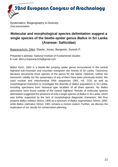Systematics, Biogeography & Diversity *Oral presentation*

## **Molecular and morphological species delimitation suggest a single species of the beetle-spider genus** *Ballus* **in Sri Lanka (Araneae: Salticidae)**

Bopearachchi, Dilini; Eberle, Jonas; Benjamin, Suresh P.

Presenter's address: *National Institute of Fundamental Studies* E-mail: dilini.p.bopearachchi@gmail.com

*Ballus* Koch, 1850 is a beetle-like jumping spider genus encountered in the central highland sub-mountain and mountain evergreen rain forests of Sri Lanka. Taxonomic literature documents three species of the genus for the island. However, neither the taxonomic validity nor the systematics of any of them have been previously tested. We used nuclear and mitochondrial DNA sequences (28S, H3, COI) as well as morphological characters to investigate the diversity of *Ballus* populations in Sri Lanka, including specimens from historical type localities of all three species. No *Ballus* specimens were found outside of the central highland. Results of molecular species delimitation suggested the presence of only a single species of *Ballus* in Sri Lanka, which was further supported by the lack of morphological diagnostic characters. We thus propose *Ballus sellatus* Simon, 1900 as a synonym of *Ballus segmentatus* Simon, 1900, while *Ballus clathratus* Simon, 1901 remains a *nomen nudum*. Further, we discuss the implication of our results for conservation planning.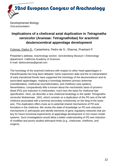

Developmental Biology *Oral presentation*

## **Implications of a cheliceral axial duplication in** *Tetragnatha versicolor* **(Araneae: Tetragnathidae) for arachnid deuterocerebral appendage development**

Cotoras, Darko D.; Castanheira, Pedro de S.; Sharma, Prashant P.

Presenter's address: *Arachnology section. Senckenberg Museum / Entomology department. California Academy of Sciences* E-mail: darkocotoras@gmail.com

The homology of the arachnid chelicera with respect to other head appendages in Panarthropoda has long been debated. Gene expression data and the re-interpretation of early transitional fossils have supported the homology of the deutocerebrum and its associated appendages, implying a homology between primary antennae (mandibulates), chelicerae (euchelicerates), and chelifores (sea spiders). Nevertheless, comparatively little is known about the mechanistic basis of proximodistal (PD) axis induction in chelicerates, much less the basis for cheliceral fate specification. Here, we describe a new cheliceral teratology in the spider *Tetragnatha versicolor* Walckenaer, 1841, which consists on a duplication of the PD axis of the left chelicera associated with a terminal secondary schistomely on the fang of the lower axis. This duplication offers clues as to potential shared mechanisms of PD axis formation in the chelicera. We review the state of knowledge on PD axis induction mechanisms in arthropods and identify elements of gene regulatory networks that are key for future functional experiments of appendage development in non-insect model systems. Such investigations would allow a better understanding of PD axis induction of modified and poorly studied arthropod limbs (e.g., chelicerae, chelifores, and ovigers).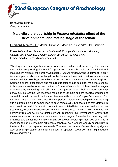

Behavioral Biology *Oral presentation*

## **Male vibratory courtship in** *Pisaura mirabilis***: effect of the developmental and mating stage of the female**

Eberhard, Monika J.B.; Möller, Timon A.; Machnis, Alexandra; Uhl, Gabriele

Presenter's address: *University of Greifswald, Zoological Institute and Museum, General and Systematic Zoology, Loitzer Str. 26, 17489 Greifswald* E-mail: monika.eberhard@uni-greifswald.de

Vibratory courtship signals are very common in spiders and serve e.g. for species recognition, suppressing the female's aggression towards the male, or signal individual male quality. Males of the nursery web spider, *Pisaura mirabilis*, who usually offer a prey item wrapped in silk as a nuptial gift to the female, vibrate their opisthosoma when in contact with female silk, presumably reacting to pheromones contained in her draglines. Courtship energy expenditure and resource transfer should select for male mate choice in this species. We hypothesized that male *P. mirabilis* are able to differentiate life-stages of females by contacting their silk, and subsequently adjust their vibratory courtship behaviour. To test this, we recorded reactions of 30 male spiders towards draglines of sub-adult, adult unmated, and mated females with a Laser-Doppler-Vibrometer. Our results show that males were less likely to perform vibratory courtship when contacting sub-adult female silk in comparison to adult female silk. In those males that vibrated in response to sub-adult female silk, courtship was initiated later compared to the other two treatments, resulting in a decreased total number of pulses, however pulse intervals and dominant frequencies did not differ between treatments. Our investigation shows that males are able to discriminate the developmental stages of females by contacting their draglines and adjust their vibratory mating behaviour accordingly. Reduced courtship in response to sub-adult female silk seems beneficial as it reduces energy expenditure in the face of a not yet reproductive female. The temporal pattern of male vibratory signals was surprisingly stable and may be used for species recognition and might reduce female aggression.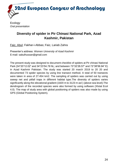

**Ecology** *Oral presentation*

## **Diversity of spider in Pir Chinasi National Park, Azad Kashmir, Pakistan**

Faiz, Abul; Fakhar-i-Abbas; Faiz, Lariab Zahra

Presenter's address: *Women University of Azad Kashmir* E-mail: sabulhussan@gmail.com

The present study was designed to document checklist of spiders at Pir chinasi National Park (34°20'12.02" and 34°23'54.78 NL; and between 73°32'26.57" and 73°38'56.94" E) in Azad Kashmir Pakistan. The study was started 20 march 2019 to 20 20 and documented 73 spider species by using line transect method. A total of 50 transects were taken in area of 27.454 km2. The sampling of spiders was carried out by using sweep net and pitfall traps in different habitat type.The diversity of spiders varies significantly along the elevational gradient (1820 m to 3123 m asl ) (above sea level).The dendrogram of the recorded species were also formed by using software (Xlstat Ecol 4.0). The map of study area with global positioning of spiders was also made by using GPS (Global Positioning System).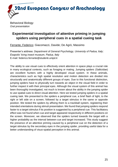

Behavioral Biology *Oral presentation*

## **Experimental investigation of attentive priming in jumping spiders using peripheral cues in a spatial cueing task**

Ferrante, Federico; Giacomazzi, Davide; De Agrò, Massimo

Presenter's address: *Department of General Psychology, University of Padua, Italy; Esapolis' living insect museum, Padua, Italy* E-mail: federico.ferrante@studenti.unipd.it

The ability to use visual cues to effectively orient attention in space plays a crucial role in many ecological contexts, such as foraging or mating. Jumping spiders (Salticidae) are excellent hunters with a highly developed visual system. In these animals, characteristics such as high spatial resolution and motion detection are divided into structurally and anatomically different groups of eyes. Due to this functional distinction, jumping spiders have to physically turn towards an object in the visual field in order to further inspect it with their principal eyes. Although the visual system of this animal has been thoroughly investigated, not much is known about the ability in the jumping spider to use spatial cues to direct visual attention. Here we tested jumping spiders in a spatial cueing task. We presented to the spiders a peripheral cue, a brief flash of light, to the right or left side on a screen, followed by a target stimulus in the same or opposite position. We tested the spiders by affixing them to a trackball system, registering their intended orientations during stimuli presentation. We found that jumping spiders respond faster to a target stimulus if its position is suggested by a peripheral cue. This facilitatory effect was not found when cue and target appeared respectively in different positions on the screen. Moreover, we observed that the spiders turned towards the target with a higher probability as the interval between cue and target increased. This study suggest the presence of an attentive priming caused by a peripheral cue on the detection of a target stimulus by the secondary eyes in the jumping spider, providing useful data for a better understanding of visuo-spatial perception in this animal.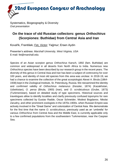Systematics, Biogeography & Diversity *Oral presentation*

## **On the trace of old Russian collectors: genus** *Orthochirus* **(Scorpiones: Buthidae) from Central Asia and Iran**

Kovařík, František; Fet, Victor; Yağmur; Ersen Aydin

Presenter's address: *Marshall University, West Virginia, USA* E-mail: fet@marshall.edu

Species of an Asian scorpion genus *Orthochirus* Karsch, 1892 (fam. Buthidae) are common and widespread in all deserts from North Africa to India. Numerous new *Orthochirus* species have been described by our research group in the recent years. The diversity of this genus in Central Asia and Iran has been a subject of controversy for over 100 years, and identity of most old species from this area was unclear. In 2018-19, we had a chance to examine the collection of the great scorpiologist Alexei A. Birula (1864- 1938) kept in the Zoological Institute, St. Petersburg, Russia. We reexamined the identity and confirmed validity of *Orthochirus melanurus* (Kessler, 1874) (Kazakhstan, Uzbekistan), *O. persa* (Birula, 1900) (Iran), and *O. scrobiculosus* (Grube, 1873) (Turkmenistan), based on detailed study of type specimens. Historical sources and travelogues allow to identify localities and clarify previously confused toponyms for rare specimens collected by Gustav Radde, Oscar Schneider, Modest Bogdanov, Nikolai Zarudny, and other prominent zoologists in the 1870s-1900s. when Russian Empire was actively involved in the "Great Game" and colonization of Central Asia. We demonstrate for the first time that the name *O. scrobiculosus*, previously used as an 'umbrella' for various *Orthochirus* from Central Asia and the Middle East, is currently applicable only to a few confirmed populations from the southwestern Turkmenistan, near the Caspian Sea.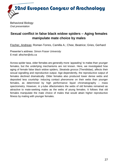

Behavioral Biology *Oral presentation*

## **Sexual conflict in false black widow spiders – Aging females manipulate mate choice by males**

Fischer, Andreas; Roman-Torres, Camilla A.; Chee, Beatrice; Gries, Gerhard

Presenter's address: *Simon Fraser University* E-mail: afischer@sfu.ca

Across spider taxa, older females are generally more 'appealing' to males than younger females, but the underlying mechanisms are not known. Here, we investigated how aging of female false black widow spiders, *Steatoda grossa* (Theridiidae), affects their sexual signalling and reproductive output. Age-dependently, the reproductive output of females declined dramatically. Older females also produced lower dense webs and deposited less courtship- inducing contact pheromone on their webs than younger females, as determined by high performance liquid chromatography – mass spectrometry. However, in y-tube olfactometers the webs of old females remained as attractive to mate-seeking males as the webs of young females. It follows that old females manipulate the mate choice of males that would attain higher reproductive fitness by mating with younger females.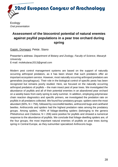

**Ecology** *Oral presentation*

## **Assessment of the biocontrol potential of natural enemies against psyllid populations in a pear tree orchard during spring**

Gajski, Domagoj; Pekár, Stano

Presenter's address: *Department of Botany and Zoology, Faculty of Science, Masaryk University* E-mail: molekularac2013@gmail.com

Modern pest control management systems are based on the support of naturally occurring arthropod predators, as it has been shown that such predators offer an important ecosystem service. However, most naturally occurring arthropod predators are generalists (euryphagous). Their role in the biological control of specific pests has been recognized but remains poorly studied. Here, we focused on the naturally occurring arthropod predators of psyllids – the main insect pest of pear trees. We investigated the abundance of psyllids and all of their potential enemies in an abandoned pear orchard on a weekly basis from early spring to early summer. In addition, employing polymerase chain reaction diagnostics and specific primers, we investigated the predation rate on psyllids in all predators collected. We found four predatory groups: spiders were the most abundant (60%,  $N = 756$ ), followed by coccinellid beetles, anthocorid bugs and cantharid beetles. Anthocorids and spiders had the highest predation rates among the predatory groups. Among spiders, >50% of foliage-dwelling spiders (belonging to the genera *Philodromus* and *Clubiona*; N = 206) were positive for psyllids and showed a numerical response to the abundance of psyllids. We conclude that foliage-dwelling spiders are, of the four groups, the most important natural enemies of psyllids on pear trees during spring in Central Europe, as they outnumber specialized Anthocoris bugs.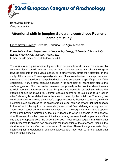

Behavioral Biology *Oral presentation*

## **Attentional shift in jumping Spiders: a central cue Posner's paradigm study**

Giacomazzi, Davide; Ferrante, Federico; De Agrò, Massimo

Presenter's address: *Department of General Psychology, University of Padua, Italy; Esapolis' living insect museum, Padua, Italy* E-mail: davide.giacomazzi@studenti.unipd.it

The ability to recognize and identify objects in the outside world is vital for survival. To compute visual stimuli, animals need to focus their resources and direct their gaze towards elements in their visual space, or in other words, direct their attention. In the study of this process, Posner's paradigm is one of the most effective. In such procedures, the focus of the attention is manipulated using a cue suggesting a specific portion of the visual field. Then, a target stimulus appears in the congruent or incongruent side of the cue's suggestion. The cue can be presented peripherally in the position where it wants to elicit attention. Alternatively, it can be presented centrally, but pointing where the attention should be moved to. Different species seems to be subjected to a "Posner effect" showing faster detections in the area indicated by the initial cue. The study we conducted aims to analyse the spider's responsiveness to Posner's paradigm, in which a central cue is presented to the spider's frontal eyes, followed by a target that appears to the left or to the right in the secondary eyes visual field, defining a "congruent" or "incongruent" condition. We found that spiders turn more frequently when targets appear in the same position indicated by the cue in respect to when it appears in the opposite side. However, this effect reverses if the time passing between the disappearance of the cue and the appearance of the target increases. These results suggest that directional cues presented to spiders had an effect in the modulation of the attentional focus in the short term, while this effect tends to slack off over time. These findings are particularly interesting for understanding cognitive aspects and may lead to further attentional studies in this species.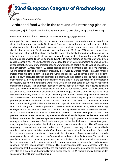32nd European Congress of Arachnology Ecology - *Oral presentation*

## **Arthropod food webs in the foreland of a retreating glacier**

Gravesen, Ejgil; Dušátková, Lenka; Athey, Kacie J.; Qin, Jiayi; Krogh, Paul Henning

Presenter's address: *Århus University, Denmark.* E-mail: ejgilg@gmail.com

Arthropod food webs comprising the below- and above-ground communities were explored at a glacier foreland area in low-arctic South-West Greenland aiming for a better understanding of the mechanisms behind the arthropod succession driven by glacier retreat in a context of an arctic climate change scenario Pitfall sampling was performed in 2015 and 2016 along a down slope transect from 300 m to 200 m above sea level to quantify the local arthropod abundance-activity in relation to an environmental data set was subject to analysis by Structural Equation Modelling (SEM) and generalized linear mixed model (GLMM) to detect bottom-up and top-down food web control mechanisms. The SEM analyses were supported by DNA metabarcoding as well as by the existing literature. Only a few predator species were found: one carabid beetle (*Nebria rufescens*), one harvestman (*Mitopus morio*), 20 spider species and eleven parasitoid species (Hymenoptera). Among potential prey of the generalist predators, there were 19 Diptera families, six Acari families (mites), three Collembola families, and one Aphididae species. We observed a shift from bottomup to top-down cascades between arthropod predators and their potential prey animal populations mainly driven by increasing temperatures away from the glacier. In the early stage of the vegetation succession, bottom-up mechanisms were found while in the later stage of succession, top-down mechanisms prevail. The arthropod population activity-density increased and showed optimum density 30-100 meter away from the glacier where after the density decreased - probably due to the top-down effect. The transect includes late succession stages that have been ice-free for at least two thousand years, which is the longest known glacier foreland chronosequence in relation to arthropod succession intensively studied. SEM revealed mechanisms regulating arthropod prey and predator populations in relation to environmental variables. Thus, bottom-up mechanisms were important for the linyphiid spider and harvestman populations while top-down mechanisms were important for the ground beetle populations. These mechanisms may be closely related to hunting strategies of the predators as a bottom-up mechanism may be connected to sit-and-wait behavior while top-down mechanisms may be related to active-search behavior. The generalist arthropod predators seem to share the same prey species as almost all available prey species were detected in the guts of the studied predator species. Instances of intraguild predation (IGP) were common among all arthropod predators. Particularly in the guts of the linyphiid spider, *Collinsia holmgreni*, many trophic linkages to other linyphiid and lycosid spiders were detected. The IGP-ratio was negatively correlated with the activity-densities of ground living prey animals but positively correlated to the spider activity-density. Global warming may accelerate the top-down effects and lead to lower population densities of arthropods in the later stages of glacier foreland areas which could potentially include huge areas in Greenland as well as in other Arctic areas. This decline in population densities is particularly pronounced for the potential prey animal populations which may have consequences for the decomposition rate of organic material as collembolans and mites are important for the decomposition process. The decomposition rate may decrease with the consequence that the organic content at the soil surface will increase. Increased top-down effects may also be a threat to cold-adapted linyphiid spider species like *C. holmgreni* while lycosid spider species may benefit from global warming.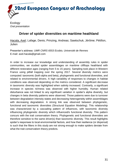

**Ecology** *Oral presentation*

## **Driver of spider diversities on maritime heathland**

Hacala, Axel; Lafage, Denis; Prinzing, Andreas; Sawtschuk, Jérôme; Pétillon, Julien

Presenter's address: *UMR CNRS 6553 Ecobio, Université de Rennes* E-mail: axel.hacala@gmail.com

In order to increase our knowledge and understanding of assembly rules in spider communities, we studied spider assemblages on maritime clifftops heathland with different restoration ages (ranging from 5 to 15 years). Sampling took place in Western France using pitfall trapping over the spring 2017. Several diversity metrics were computed: taxonomic (both alpha and beta), phylogenetic and functional diversities, and related to environmental drivers. A high variability of responses to changes in habitat conditions was observed depending on the metrics considered. A significant decrease in taxonomic diversity was highlighted when salinity increased. Contrarily, a significant increase in species richness was observed with higher humidity. Human related disturbance was not linked to any significant variation in spider's alpha diversity, but changes in beta diversity patterns were observed. Those patterns were due to turnover between degradation intensity states and decreasing heterogeneity within assemblages with decreasing degradation. A strong link was observed between phylogenetic, functional and taxonomic diversities (Structural Equation Modeling). This relationship was characterized by a cascading pattern of influences, with taxonomic diversity influencing phylogenetic diversity which influenced/s functional diversity. This pattern concurs with the trait conservatism theory. Phylogenetic and functional diversities are therefore sensitive to the same driver(s) than taxonomic diversity. This result highlights spider's responses to local environmental factors, and how their resilience (or dispersal) is such that the filters in this study are not strong enough to make spiders deviate from what the trait conservatism theory predicts.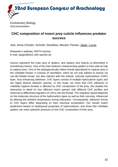

Evolutionary Biology *Oral presentation*

## **CHC composition of insect prey cuticle influences predator success**

Joel, Anna-Christin; Schmitt, Dorothea; Menzel, Florian; Jäger, Lucas

Presenter's address: *RWTH Aachen* E-mail: jaeger@bio2.rwth-aachen.de

Insects represent the main prey of spiders, and spiders and insects co-diversified in evolutionary history. One of the main features characterizing spiders is their web as trap to capture prey. One of the phylogenetically oldest thread specialized to capture prey is the cribellate thread. It consists of nanofibers, which do not only adhere to insects via van-der-Waals forces, but also interact with the insects' cuticular hydrocarbon (CHC) layer, thus enhancing adhesion. CHC layers consist of multiple hydrocabron types and are highly diverse between species. In this study, we show that CHC adhesion to cribellate capture threads is affected by CHC composition of the prey. We studied the interaction in detail for four different insect species with different CHC profiles and observed a differential migration of CHCs into the thread. The migration speed depends on the molecular structure of the hydrocarbon types as well as their viscosity, influenced by altering the ambient temperature during interaction. Consequently, adhesion forces to CHC layers differ depending on their chemical composition. Our results match predictions based on biophysical properties of hydrocarbons, and show that cribellate spiders can exert selection pressure on the CHC composition of their prey.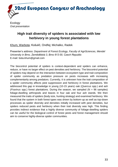

**Ecology** *Oral presentation*

## **High trait diversity of spiders is associated with low herbivory in young forest plantations**

Khum, Warbota; Košulič, Ondřej; Michalko, Radek

Presenter's address: *Department of Forest Ecology, Faculty of AgriSciences, Mendel University in Brno, Zemědělská 3, Brno 613 00, Czech Republic* E-mail: bota.khum@gmail.com

The biocontrol potential of spiders is context-dependent and spiders can enhance, reduce, or have no larger effect on pest densities and herbivory. The biocontrol potential of spiders may depend on the interaction between ecosystem type and trait composition of spider community as predation pressure on pests increases with increasing complementarity among predators. Currently, it is unknown how the trait composition of a spider community affects pest suppression and herbivory in forest plantations. We addressed this gap in knowledge in young (10-15 years) oak (*Quercus* spp.) and ash (*Fraxinus* spp.) forest plantations. During the season, we sampled (N = 96 samples) foliage-dwelling arthropods and leaves in four oak and four ash stands. We then measured the traits of spiders (body size, hunting strategy) and examined herbivory. We found that the system in both forest types was driven by bottom-up as well as top-down processes as spider diversity and densities initially increased with pest densities, but spiders reduced pests and herbivory when their trait diversity was high. This finding provides indirect evidence that a highly diverse community of foliage-dwelling spiders can be useful for the biological control of forest pests and forest management should aim to conserve highly-diverse spider communities.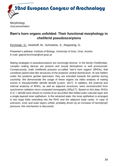

**Morphology** *Oral presentation*

### **Ram's horn organs unfolded: Their functional morphology in cheliferid pseudoscorpions**

Kirchmair, G.; Heethoff, M.; Schmelzle, S.; Raspotnig, G.

Presenter's address: *Institute of Biology, University of Graz, Graz, Austria* E-mail: gabriel.kirchmair@uni-graz.at

Mating strategies in pseudoscorpions are stunningly diverse. In the family Cheliferidae, complex mating dances are present and sexual dimorphism is well pronounced. Conspicuously, male cheliferids possess so-called "ram's horn organs" (RHOs), that constitute paired tube-like structures of the posterior ventral diverticulum. At rest hidden under the posterior genital operculum, they are extruded towards the partner during courtship. We demonstrate the usage of these organs via video analysis of mating events in *Dactylochelifer latreillii latreillii* (Leach, 1817). In addition, the external and internal anatomy of RHOs, as well as adjacent structures, were reconstructed from synchrotron radiation micro computed tomography (SRµCT). Based on this data, RHOs in *D. l. latreillii* were shown to consist of an accordion-like folded outer cuticular layer and a single-layered inner epithelium. In the retracted state, the inner epithelium is arranged in two large folds extending into the RHO and the adjacent body cavity. In case of extrusion, inner and outer layers unfold, probably driven by an increase of hemolymph pressure, this mechanism is discussed.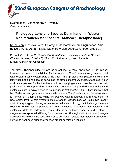Systematics, Biogeography & Diversity *Oral presentation*

# **Phylogeography and Species Delimitation in Western Mediterranean** *Ischnocolus* **(Araneae: Theraphosidae)**

Korba, Jan; Opatova, Vera; Calatayud-Mascarell, Arnau; Enguídanos, Alba; Bellvert, Adriá; Adrián, Silvia; Sánchez-Vialas, Alberto; Arnedo, Miquel A.

Presenter's address: *Ph.D student at Department of Zoology, Faculty of Science, Charles University, Viničná 7, CZ – 128 44, Prague 2, Czech Republic* E-mail: korbajan91@gmail.com

The family Theraphosidae (known as tarantulas) is most diversified in the tropics, however two genera inhabit the Mediterranean - *Chaetopelma* mostly eastern and *Ischnocolus* mostly western part of the basin. Their phylogenetic placement within the family has been long debated as well as the status of some *Ischnocolus* species. In our work, we implement for the first time a multi locus phylogenetic approach to resolve their position within Theraphosidae. Genetic data are further integrated with morphology and ecological data to explore species boundaries in *Ischnocolus*. Our findings indicate that two Mediterranean genera are not closely related - *Chaetopelma* was inferred as sister to African Eumenophorinae while *Ischnocolus* was repeatedly inferred as sister to Neotropical taxa. Within Western Mediterranean *Ischnocolus*, we found two clearly distinct morphotypes differing in lifestyle as well as morphology, which diverged in early Miocene. Within first morphotype, we found evidence in genetic, morphological and ecological data to redescribe south Moroccan endemic species and restore *I. mogadorensis* **sp. reval.** differing from *I. valentinus*. Although distinct allopatric lineages were also found within the second morphotype, lack of reliable morphological characters as well as poor node supports impeded proper species delimitation.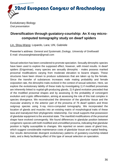

Evolutionary Biology *Oral presentation*

### **Diversification through gustatory-courtship: An X-ray microcomputed tomography study on dwarf spiders**

Lin, Shou-Wang; Lopardo, Lara; Uhl, Gabriele

Presenter's address: *General and Systematic Zoology, University of Greifswald* E-mail: shouwanglintaiwan@gmail.com

Sexual selection has been considered to promote speciation. Sexually dimorphic species have been used to explore the supposed effect, however, with mixed results. In dwarf spiders (Erigoninae), many species are sexually dimorphic - males possess marked prosomal modifications varying from moderate elevation to bizarre shapes. These structures have been shown to produce substances that are taken up by the female. Since the transfer of substances increases male mating probability and female oviposition rate, the dimorphic traits evolved in the context of sexual selection. Here, we explore the evolutionary lability of these traits by investigating 1) if modified prosomata are inherently linked to nuptial-gift-producing glands, 2) if gland evolution preceded that of the modified prosomal shapes and by assessing 3) the probability of convergent evolution and cryptic differentiation, aiming at assessing the role of this trait complex in species divergence. We reconstructed the dimension of the glandular tissue and the muscular anatomy in the anterior part of the prosoma of 76 dwarf spiders and three outgroup species using X-ray micro-computed tomography. We incorporated the location of glands and muscles into an existing matrix of morphological traits of these taxa and reanalyzed their phylogenetic relationship. Our result supports that possession of glandular equipment is the ancestral state. The manifold modifications of the prosomal shape have evolved convergently. We found differences in glandular position between congeneric species with both modified and unmodified prosoma, indicating that glandular position is highly susceptible to changes. We reported on seven cases of gland loss, which suggest considerable maintenance costs of glandular tissue and nuptial feeding. Our results demonstrate divergent evolutionary patterns of gustatory-courtship-related traits, and a likely facilitating effect of this type of sexual selection on speciation.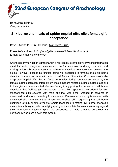

Behavioral Biology *Oral presentation*

### **Silk-borne chemicals of spider nuptial gifts elicit female gift acceptance**

Beyer, Michelle; Tuni, Cristina; Mangliers, Julia

Presenter's address: *LMU (Ludwig-Maximilians-Universität München)* E-mail: Julia.mangliers@me.com

Chemical communication is important in a reproductive context by conveying information used for mate recognition, assessment, and/or manipulation during courtship and mating. Spider silk often functions as vehicle for chemical communication between the sexes. However, despite its function being well described in females, male silk-borne chemical communication remains unexplored. Males of the spider *Pisaura mirabilis* silkwrap prey (nuptial gifts) that is offered to females during courtship and eaten by the female during copulation. Interestingly, males that are rejected during courtship add silk to their gifts and are accepted after re-offering it, suggesting the presence of silk-borne chemicals that facilitate gift acceptance. To test this hypothesis, we offered females standardized gifts covered with male silk that was either washed in solvents or unwashed, and scored female gift acceptance. Females accepted gifts covered with unwashed silk more often than those with washed silk, suggesting that silk-borne chemicals of nuptial gifts stimulate female responses to mating. Silk-borne chemicals may potentially signal male underlying quality or manipulate females into mating beyond their reproductive interests given the occurrence of male cheating behaviour via nutritionally worthless gifts in this system.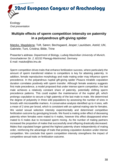

### **Multiple effects of sperm competition intensity on paternity in a polyandrous gift-giving spider**

Matzke, Magdalena; Toft, Søren; Bechsgaard, Jesper; Lauridsen, Astrid; Uhl, Gabriele; Tuni, Cristina; Bilde, Trine

Presenter's address: *Department of Biology, Ludwig Maximilian University of Munich, Grosshaderner Str. 2, 82152 Planegg-Martinsried, Germany* E-mail: matzke@bio.lmu.de

Sperm competition drives traits that enhance fertilization success, where particularly the amount of sperm transferred relative to competitors is key for attaining paternity. In addition, female reproductive morphology and male mating order may influence sperm precedence. In the polyandrous nuptial gift-giving spider *Pisaura mirabilis* copulation duration correlates positively with sperm transfer. Although female anatomy suggests first male precedence, a model proposed that under intense sperm competition, the last male achieves a relatively constant share of paternity, potentially shifting sperm precedence patterns. This could explain the maintenance of the nuptial gift, which prolongs copulation to secure a high paternity of the last male to mate. We determined the degree of polyandry in three wild populations by assessing the number of sires in broods with microsatellite markers. A conservative analysis identified up to 4 sires, with a mean of 2 sires per brood, which is consistent with an optimal mating rate for females. We varied sexual selection intensity experimentally and determined competitive fertilization outcome by genotyping broods. We found a mating order effect of deceasing paternity when females were mated to 4 males, however this effect disappeared when mated to 6 males due to increased sperm mixing. As the number of mating partners increased the proportion of males that successfully sired offspring drastically decreased. Males that copulated longer gained the highest paternity share independently of mating order, reinforcing the advantage of traits that prolong copulation duration under intense competition. We conclude that sperm competition intensity strengthens the impact of competitive sexual traits on fertilization outcome.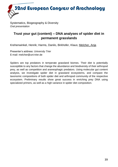Systematics, Biogeography & Diversity *Oral presentation*

### **Trust your gut (content) – DNA analyses of spider diet in permanent grasslands**

Krehenwinkel, Henrik; Harms, Danilo, Birkhofer, Klaus; Melcher, Anja

Presenter's address: *University Trier* E-mail: melcher@uni-trier.de

Spiders are top predators in temperate grassland biomes. Their diet is potentially susceptible to any factors that change the abundance and biodiversity of their arthropod prey, as well as competition and araneophagic predators. Using molecular gut content analysis, we investigate spider diet in grassland ecosystems, and compare the taxonomic compositions of both spider diet and arthropod community of the respective ecosystem. Preliminary results show great success in enriching prey DNA using specialized primers, as well as a high variance in spider diet composition.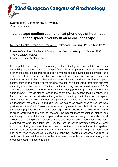Systematics, Biogeography & Diversity *Oral presentation*

### **Landscape configuration and leaf phenology of host trees shape spider diversity in an alpine landscape**

Mendez-Castro, Francisco Emmanuel; Ottaviani, Gianluigi; Bader, Maaike Y.

Presenter's address: *Institute of Botany of the Czech Academy of Sciences, 37982 Třeboň, Czech Republic* E-mail: femendez@icloud.com

Forest patches and single trees forming treelines display size and isolation gradients resembling vegetation islands. This specific spatial arrangement constitutes a suitable scenario to study biogeographic and environmental forces driving species diversity and distribution. In this study, our objective is to find out if biogeographic forces such as habitat size and isolation shape the species richness and composition of spider communities in the canopy of the treeline ecotone. We conducted three field surveys matching the active seasons of spiders (autumn, spring, and summer) between 2017- 2018. We collected spiders living in the lower canopy (up to 2.5m) of *Pinus cembra* and *Larix decidua* – the dominant trees in the study area– by beating their branches. We found that the habitat size-isolation gradient is an important driver of the spider communities in the lower canopy of alpine trees. In line with the theory of island biogeography, the effect of island size (i.e. tree height) on spider species richness was positive, and the effect of isolation (represented by elevation and habitat distribution in the landscape) was negative. These biogeographic processes were however restricted to trees occurring at the treeline ecotone (the habitat most resembling islands and archipelagos in the alpine landscape), and to the active hunters guild. We also found evidence of a strong effect of seasonality and tree phenology on spider species richness produced by larch deciduousness - i.e. the loss of leaves promotes cycles of local extinction (during winter-spring) and recolonization (summer-autumn) for spiders. Finally, we observed different patterns for contrasting functional groups of spiders. On one hand, web weavers were especially sensitive towards processes occurring in continuous forest patches while on the other hand, active hunters respond stronger to processes occurring at the tree line.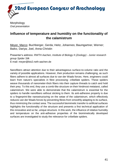

**Morphology** *Oral presentation*

#### **Influence of temperature and humidity on the functionality of the calamistrum**

Meyer, Marco; Buchberger, Gerda; Heitz, Johannes; Baumgartner, Werner; Baiko, Dariya; Joel, Anna-Christin

Presenter's address: *RWTH Aachen, Institute of Biology II (Zoology) - Junior research group Spider Silk* E-mail: meyer@bio2.rwth-aachen.de

Nanofibers attract attention due to their advantageous surface-to-volume ratio and the variety of possible applications. However, their production remains challenging, as such fibers adhere to almost all surfaces due to van der Waals forces. Here, engineers could learn from nature's specialists in fibre processing: cribellate spiders. These spiders weave thousands of nanometer-thick fibers into their capture threads to catch and hold their prey. To this end, they use a comb-like structure on their hindmost metatarsi, called calamistrum. We were able to demonstrate that the calamistrum is essential for the spiders to handle nanofibers without sticking to them. Its anti-adhesive property is due to a fingerprint-like nanostructuring on the setae of the calamistrum, which effectively reduces van der Waals forces by preventing fibres from smoothly adapting to its surface, thus minimizing the contact area. The successful biomimetic transfer to artificial surfaces highlights the functionality of the structure and presents a first technical application of this innovative and so far, unique structure. In this work, the influence of relative humidity and temperature on the anti-adhesive properties of the biomimetically developed surfaces are investigated to study the relevance for cribellate spiders.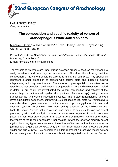

Evolutionary Biology *Oral presentation*

### **The composition and specific toxicity of venom of araneophagous white-tailed spiders**

Michálek, Ondřej; Walker, Andrew A.; Šedo, Ondrej; Zdráhal, Zbyněk; King, Glenn F.; Pekár, Stano

Presenter's address: *Department of Botany and Zoology, Faculty of Science, Masaryk University, Czech Republic* E-mail: michalek.ondrej@mail.muni.cz

The venoms of predators are under strong selection pressure because the venom is a costly substance and prey may become resistant. Therefore, the efficiency and the composition of the venom should be tailored to affect the focal prey. Prey specialists represent a small proportion of spiders with narrow diets and intriguing hunting adaptations, including potent venom. The venoms of prey specialists are often taxonspecific and less complex than the venoms of generalists, but they have not been studied in detail. In our study, we investigated the venom composition and efficacy of the araneophagous white-tailed spider (Lamponidae: *Lampona* sp.) using proteotranscriptomics and venom injection bioassays. The proteo-transcriptomic analysis revealed 208 toxin sequences, comprising 103 peptides and 105 proteins. Peptides were more abundant, bigger compared to typical araneomorph or mygalomorph toxins, and showed Cysteine-rich scaffolds likely representing variations on the inhibitor-cystineknot (ICK) motif. Proteins included various toxins similar to galectins, leucine-rich repeat proteins, trypsins and neprilysins. *Lampona* venom was prey-specific, as it was more potent on their focal prey (spiders) than alternative prey (crickets). On the other hand, the venom of the related generalist (Gnaphosidae: *Gnaphosa* sp.) was similarly potent against both prey types. We also tested the efficacy of two venom fractions in *Lampona* (smaller and larger than 10 kDa). Only the high mass fraction was effective on both spider and cricket prey. Prey-specialised spiders represent a promising model system for the investigation of novel toxic compounds with an expected specific mode of action.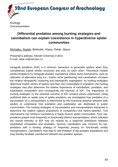

# **Differential predation among hunting strategies and cannibalism can explain coexistence in hyperdiverse spider communities**

Michalko, Radek; Birkhofer, Klaus; Pekár, Stano

Presenter's address: *Mendel University in Brno* E-mail: radar.mi@seznam.cz

Intraguild predation (IGP) is a common interaction in generalist spiders when they competitively exploit similar resources and prey on each other. Theoretical models predict limitations for intraguild predator coexistence unless some mechanisms, such as utilization of alternative prey (i.e., trophic niche partitioning) and cannibalism, increase the relative intraspecific clustering and interspecific segregation. As hunting strategies determine trophic niches of spiders and their own vulnerability to predation, the hunting strategies may also determine the relative importance of cannibalism, predation, and exploitative competition and consequently the intensity of IGP. The importance of hunting strategies on the potential outcome of IGP remains poorly understood. Using published data on spider prey of spider predators, we investigated how predation of a top-predator on a mesopredator is determined by the functional distance between both spiders to understand how predation and exploitation are distributed in spider communities. The hunting strategies of top-predators and mesopredators interacted to determine the relative capture proportions of conspecifics and hetero-specifics. Two mechanisms can reinforce coexistence in highly diverse spider communities. First, toppredators preyed most frequently on functionally distinct mesopredators, which indicates the overall intensity of IGP may be relaxed by a balanced distribution between exploitative competition and predation. Second, cannibalism was common for toppredators with a hunting strategy of frequently preying on functionally similar mesopredators. Cannibalism may lead to self-limitation of top-predator populations and may thereby facilitate coexistence between two predator species.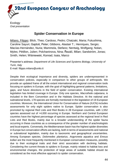

#### **Spider Conservation in Europe**

Milano, Filippo; Blick, Theo; Cardoso, Pedro; Chatzaki, Maria; Fukushima, Caroline Sayuri; Gajdoš, Peter; Gibbons, Alastair T.; Henriques, Sergio; Macías-Hernández, Nuria; Mammola, Stefano; Nentwig, Wolfgang; Nolan, Myles; Pétillon, Julien; Polchaninova, Nina; Řezáč, Milan; Sandström, Jonas; Smith, Helen; Wiśniewski, Konrad; Isaia, Marco

Presenter's address: *Department of Life Sciences and Systems Biology, University of Turin, Italy* E-mail: filippo.milano@unito.it

Despite their ecological importance and diversity, spiders are underrepresented in conservation policies, especially in comparison to other groups of arthropods. We provide an updated frame of all the extant international and regional conservation tools focusing on spiders in Europe, with the goal of highlighting general patterns, limitations, gaps, and future directions in the field of spider conservation. Existing international legislation has limited coverage in Europe. Only one species, *Macrothele calpeiana*, is included in the Bern Convention and in the Habitats Directive. At the national and subnational levels, 178 species are formally mentioned in the legislation of 19 European countries. Moreover, the International Union for Conservation of Nature (IUCN) includes assessments for only eight spiders native to Europe. Spider conservation is also promoted by regional Red Lists and Red Books in 28 European countries, with 1,552 species assessed out of >4,000 occurring in Europe. Northern and Central European countries have the highest percentage of species assessed at the regional level in Red Lists and Red Books, mainly due to a broader understanding of the spider fauna occurring in these countries as a consequence of the greater number of arachnologists and local experts. Conversely, the Mediterranean basin has the highest spider diversities in Europe but conservation efforts are lacking, both in terms of assessments and national or subnational legislation, mainly due to taxonomic and geographical uncertainties. Among European species, *Dolomedes plantarius*, *Argyroneta aquatica* and *Eresus kollari* are the most frequently mentioned in European conservation measures, possibly due to their ecological traits and their strict association with declining habitats. Considering the current threats to spiders in Europe, mainly related to habitat loss and environmental changes, the protection of large areas of suitable habitat should be considered as the most effective approach to spider conservation.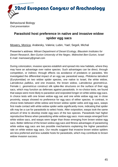

Behavioural Biology *Oral presentation*

### **Parasitoid host preference in native and invasive widow spider egg sacs**

Mowery, Monica; Arabesky, Valeria; Lubin, Yael; Segoli, Michal

Presenter's address: *Mitrani Department of Desert Ecology, Blaustein Institutes for Desert Research, Ben-Gurion University of the Negev, Midreshet Ben-Gurion, Israel* E-mail: mamowery@gmail.com

During colonization, invasive species establish and spread into new habitats, where they may have an advantage over native species. Such advantages can be direct, through competition, or indirect, through effects via avoidance of predators or parasites. We investigated the differential impact of an egg sac parasitoid wasp, *Philolema latrodecti* (Eurytomidae) on two widow spider species, one native to Israel, the white widow, *Latrodectus pallidus*, and one invasive, the brown widow, *Latrodectus geometricus*. Female *L. geometricus* construct silk spike-like structures on the surface of their egg sacs, which may function as defenses against parasitoids. In no-choice tests, we found that wasps were more likely to parasitize and oviposited longer on white widow egg sacs. In choice tests with one brown widow egg sac and one white widow egg sac in close proximity, wasps showed no preference for egg sacs of either species. In contrast, in choice tests between white widow and brown widow spider webs and egg sacs, wasps first made contact with white widow spider webs significantly more, indicating that spider silk may be a cue for parasitoids to select hosts. After oviposition, wasps took the same amount of time to develop inside egg sacs of the two species. Parasitoids had higher reproductive fitness when parasitizing white widow egg sacs: more wasps emerged from white widow sacs, and wasps were larger than those emerging from brown widow egg sacs. Better defense of the brown widow egg sacs and fitness advantages of parasitizing white widow egg sacs are two possible mechanisms explaining the higher parasitism rate on white widow egg sacs. Our results suggest that invasive brown widow spiders are less preferred and less suitable hosts for parasitoids, which may contribute to brown widow invasion success.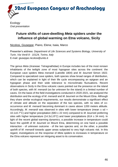

# **Future shifts of cave-dwelling** *Meta* **spiders under the influence of global warming on Etna volcano, Sicily**

Nicolosi, Giuseppe; Piano, Elena; Isaia, Marco

Presenter's address: *Department of Life Sciences and Systems Biology, University of Turin, Via Verdi 8 - 10124, Torino, Italy* E-mail: giuseppe.nicolosi@unito.it

The genus *Meta* (Araneae: Tetragnathidae) in Europe includes two of the most renown inhabitants of the twilight zone of most hypogean sites across the continent: the European cave spiders *Meta menardi* (Latreille 1804) and *M. bourneti* Simon 1922. Compared to specialized cave spiders, both species show broad ranges of distribution, which can be explained in light of their life cycle encompassing an epigean and an hypogean phase and their wide tolerance to microclimatic fluctuations. Recent observations in Sicily in the Etna volcanic caves pointed out the presence on the island of both species, with *M. menardi* (so far unknown for the island) in a limited number of caves. On the basis of the field investigations conducted in 2020-2021, we analyzed the distribution and the ecology of *M. menardi* and *M. bourneti* on the Mount Etna. Although they share similar ecological requirements, our results demonstrate a significant effect of climate and altitude on the separation of the two species, with no sites of cooccurrence and *M. menardi* becoming dominant in caves above 1200 meters altitude. Accordingly, *M. menardi* was observed in sites with lower temperature (mean  $\pm$  sd = 10.1±0.7°C) and higher precipitation (683 ± 22 mm) compared to *M. bourneti* preferring sites with higher temperature (14.3 $\pm$ 1.8°C) and lower precipitations (614  $\pm$  34 mm). In light of the recent global warming dynamics, a possible increase in temperature could favor the upshift of *M. bourneti* on Mount Etna, determining on one hand a possible interaction - of unknown outcome - of the two species and, on the other, a possible upshift of *M. menardi* towards upper areas subjected to very high volcanic risk. In this regard, investigations on the response of *Meta* spiders to increases in temperature on the Etna volcano represent an intriguing asset to its conservation.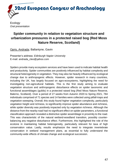

# **Spider community in relation to vegetation structure and urbanization pressures in a protected raised bog (Red Moss Nature Reserve, Scotland)**

Opris, Andrada; Ballantyne, Gavin

Presenter's address: *Edinburgh Napier University* E-mail: andrada\_cleo@yahoo.com

Spiders provide many ecosystem services and have been used to indicate habitat health and productivity. Spider communities are positively influenced by habitat complexity and structural heterogeneity in vegetation. They may also be heavily influenced by ecological change due to anthropogenic effects. However, spider research in many countries, including the UK, has largely focused on agro-ecosystems, highlighting the need for investigating non-agricultural habitats. This is the first study aiming to evaluate vegetation structure and anthropogenic disturbance effects on spider taxonomic and functional assemblages (guilds) in a protected raised bog (Red Moss Nature Reserve, Balerno, Scotland). Over a period of 27 weeks from Autumn 2020 to Spring 2021, 784 individuals comprised of 71 species and 14 families were collected using pitfall-traps and vegetation sweeping. Overall, this study found higher vegetation complexity, particularly vegetation height and richness, to significantly improve spider abundance and richness, while spider diversity was positively impacted only by vegetation richness. Although the distance from the nearby road had no significant effect on spider parameters, a functional classification approach revealed a distinctive spider assemblage in proximity to the road. This was characteristic of the natural wetland-woodland transition, possibly counterbalancing any negative disturbance effect. Furthermore, this highlighted the role of the ecotone in maintaining habitat heterogeneity, particularly relevant for taxa of high conservation value. Lastly, results emphasize the need to integrate invertebrate conservation in wetland management plans, as essential to fully understand the community-wide effects of climate change and ecological succession.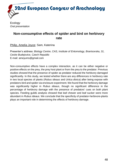

### **Non-consumptive effects of spider and bird on herbivory rate**

Philip, Amelia Joyce; Sam, Katerina

Presenter's address: *Biology Centre, CAS, Institute of Entomology, Branisovska, 31, Ceske Budejovice, Czech Republic* E-mail: ameyums@gmail.com

Non-consumptive effects have a complex interaction, as it can be either negative or positive effects on the prey, the prey host plant or from the prey to the predator. Previous studies showed that the presence of spider as predator reduced the herbivory damaged significantly. In this study, we tested whether there are any differences in herbivory rate in two local species of plants (*Rubus ideaus* and *Urtica dioica*) after being expose with predators-bird and spider via enclosure experiment. We found that the herbivory damage was significantly higher in *Rubus ideaus*, though no significant difference in the percentage of herbivory damage with the presence of predators' cues on both plant species. Feeding guilds analysis showed that leaf chewer and leaf sucker were more abundant in *Rubus ideaus*. We conclude that the specificity of predator-herbivore-plants plays an important role in determining the effects of herbivory damage.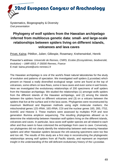Systematics, Biogeography & Diversity *Oral presentation*

# **Phylogeny of wolf spiders from the Hawaiian archipelago inferred from multilocus genetic data: small- and large-scale relationships between spiders living on different islands, volcanoes and lava caves**

Privet, Kaïna; Pétillon, Julien; Gillespie, Rosemary; Krehenwinkel, Henrik

Presenter's address: *Université de Rennes, CNRS, Ecobio (Ecosystèmes, biodiversité, évolution) – UMR 6553, F-35000 Rennes, France* E-mail: kaina.privet@univ-rennes1.fr

The Hawaiian archipelago is one of the world's finest natural laboratories for the study of evolution and patterns of speciation. We investigated wolf spiders (Lycosidae) which present on Hawaii a really diversified ecological range: some are found at the top of volcanoes, some others on lava flows, some in lava caves and even some in wet forests. Here we investigated the evolutionary relationships of 200 specimens of wolf spiders from the Hawaiian archipelago. We studied the relationships (1) amongst wolfs spiders from the different islands of the Hawaiian archipelago, and (2) among the islands between the spiders found on different volcanoes and (3) on a volcano between the spiders that live at the surface and in the lava caves. Phylogenies were reconstructed by maximum likelihood and Bayesian methods using eight molecular markers; the mitochondrial genes 12S rRNA, 16S rRNA, COI and the nuclear genes 18S, 28S, ITS2, Actin5C and Histone 3. These markers were assessed by multiplex PCR and next generation Illumina amplicon sequencing. The resulting phylogenies allowed us to determine the relationship between Hawaiian wolf spiders living on the different islands, volcanoes and caves. In particular, lava caves wolf spider species are all related to each other and thus seem to have colonized the archipelago from cave to cave. Conversely, our phylogenies did not clearly identify the relationship between web-weaving Hawaiian spiders and other Hawaiian spiders because the orb-weaving specimens were too few and too old. The results of this study are a first step in reconstructing the phylogenetic relationships among wolf spiders from all Pacific islands, and represent an important insight in the understanding of the still deficient evolutionary history of the Lycosidae.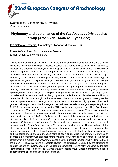Systematics, Biogeography & Diversity *Oral presentation*

### **Phylogeny and systematics of the** *Pardosa lugubris* **species group (Arachnida, Araneae, Lycosidae)**

Propistsova, Evgenia; Galinskaya, Tatiana; Mikhailov, Kirill

Presenter's address: *Moscow state university* E-mail: evgenya.jeny@yandex.ru

The spider genus *Pardosa* C.L. Koch, 1847 is the largest and most widespread genus in the family Lycosidae (Araneae), including 549 species. Species of the genus are distributed in the Palaearctic, Nearctic, and enter the Indo-Malaysian and Ethiopian regions. Species of the genus are divided into groups of species based mainly on morphological characters: structure of copulatory organs, coloration, measurements of leg length, and carapax. At the same time, species within groups practically do not differ in morphology, especially females. *Pardosa alacris* is considered a typical species of the genus, this species belongs to the *Pardosa lugubris* species group, the morphology of females of which seems to be one of the most complex. According to some authors, the genus deserves to be divided into several genera. At present *P. lugubris* group includes 7 species. As defining characters of spiders of the Lycosidae family, the measurements of body length, relative eye size, ratio of carapax length to foreleg femur length, as well as the structure of copulatory organs of males and females are used. In the group of the studied species, females are traditionally determined by the males caught in the same area. The aim of the study was to investigate the relationships of species within the group, using the methods of molecular phylogenetics, linear and geometrical morphometry. The first stage of the work was the selection of genus-specific primers for PCR and development of a technique for DNA isolation from organisms by boiling. Cytochrome oxidase genes, 28S, and 12S ribosome subunits were selected as markers. We also synthesized a new primer that amplified, in combination with already known primers for the cytochrome oxidase gene, a site measuring 1,200 bp. Preliminary data show that the molecular method allows us to distinguish only part of the species. *Pardosa koponeni* forms a separate clade, a sister clade containing *P. lugubris*, *P. saltans*, and *P. alacris*, while morphologically *P. koponeni* is the least different from the *P. lugubris*. The species *P. caucasica* is well separated. The second part of the study consisted of checking the morphological characteristics used to separate species of the group. The coloration of the palpus of males proved to be a trait effective for distinguishing species, and the partial effectiveness of measurements of body length ratios was shown. The method of geometric morphometry was proposed for the first time to study the epygine of females. The partial efficiency of this method was shown; when analyzing the principal components by 7 landmarks on the graph, *P. caucasica* forms a separate cluster. The difference is caused by the structure of anterior pockets of epygine. Based on the data of geometrical morphometry, we compiled the first identification key for females of the *Pardosa lugubris* species group. Linear morphometry of ratios of body lengths of spiders showed small efficiency.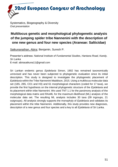Systematics, Biogeography & Diversity *Oral presentation*

# **Multilocus genetic and morphological phylogenetic analysis of the jumping spider tribe Nannenini with the description of one new genus and four new species (Araneae: Salticidae)**

Satkunanathan, Abira; Benjamin, Suresh P.

Presenter's address: *National Institute of Fundamental Studies, Hantana Road, Kandy, Sri Lanka* E-mail: abirasatkuna11@gmail.com

Sri Lankan endemic genus *Epidelaxia* Simon, 1902 has remained taxonomically unrevised and has never been subjected to phylogenetic evaluation since its initial description. This study is designed to investigate the phylogenetic placement of *Epidelaxia* within the Tribe Nannenini Maddison, 2015. Using a multilocus molecular data set (18S, 28S, CO1 and H3) and 61 morphological characters (coded for 17 taxa), we provide the first hypothesis on the internal phylogenetic structure of the *Epidelaxia* and its placement within tribe Nannenini. We used TNT 1.1 for the parsimony analysis of the morphological data matrix and RAxML for the maximum-likelihood (ML) analysis of the molecular data set. The resulting ML analysis includes 30 taxa (09 ingroups, 21 outgroups). All analysis strongly supports the monophyly of *Epidelaxia* and validates its placement within the tribe Nannenini. Additionally, this study provides new diagnoses, description of a new genus and four species and a key to all *Epidelaxia* of Sri Lanka.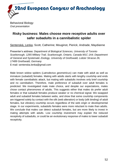

Behavioral Biology *Oral presentation*

### **Risky business: Males choose more receptive adults over safer subadults in a cannibalistic spider**

Sentenská, Lenka; Scott, Catherine; Mouginot, Pierick; Andrade, Maydianne

Presenter's address: *Department of Biological Sciences, University of Toronto Scarborough, 1265 Military Trail, Scarborough, Ontario, Canada M1C 1A4; Department of General and Systematic Zoology, University of Greifswald, Loitzer Strasse 26, 17489 Greifswald, Germany* E-mail: sentenska.lenka@gmail.com

Male brown widow spiders (*Latrodectus geometricus*) can mate with adult as well as immature (subadult) females. Mating with adults starts with lengthy courtship and ends with female cannibalistic attack, but mating with subadults involves only brief courtship and no cannibalism. Therefore, male preference of subadult over adult females is predicted. We investigated male mate choice, and despite our expectations, males chose contact pheromones of adults. This suggests either that males do prefer adult females or that subadult females produce weaker or no chemical signal. We swapped adult and subadult females between webs, and show that some courtship components are triggered solely by contact with the silk (web alteration) or body (silk binding) of adult females, but vibratory courtship occurs regardless of the web origin or developmental stage. In our experiments, subadults females were more reluctant to mate than adults. We conclude that males can detect subadult females, but are more likely to invest in mating attempts with adults. Low courtship investment may explain the reduced receptivity of subadults, or could be an evolutionary response of males to lower subadult receptivity.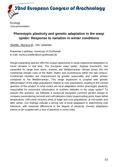

# **Phenotypic plasticity and genetic adaptation in the wasp spider: Response to variation in winter conditions**

Sheffer, Monica M.; Uhl, Gabriele

Presenter's address: *University of Greifswald* E-mail: monica.sheffer@uni-greifswald.de

Range expanding species offer the unique opportunity to study organismal adaptation to novel climates in real time. The European wasp spider, *Argiope bruennichi*, has expanded its range from warm, oceanic and Mediterranean climate zones into the continental climate zone of the Baltic States and Scandinavia within the last century. Continental climates are characterized by greater seasonality and colder winters compared to the Mediterranean. This range expansion is coupled with genetic differentiation of the edge populations relative to core populations, leading to the central question of this project: to what extent are local adaptation and/or phenotypic plasticity responsible for successful colonization of northern latitudes in the wasp spider? To answer this question, we followed a reciprocal transplant common garden design to compare overwintering survival and cold tolerance traits (supercooling point, lower lethal temperature, chill coma recovery time) of edge and core populations, at mid-winter and after winter. Our findings indicate a strong role of local adaptation in determining cold tolerance, with seasonal differences in the degree of plasticity. Genetic adaptation seems to be coupled with a loss of plasticity in some traits.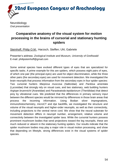

**Neurobiology** *Oral presentation*

# **Comparative anatomy of the visual system for motion processing in the brains of cursorial and stationary hunting spiders**

Steinhoff, Philip O.M.; Harzsch, Steffen; Uhl, Gabriele

Presenter's address: *Zoological Institute and Museum, University of Greifswald* E-mail: philipsteinhoff@gmail.com

Some animal species have evolved different types of eyes that are specialized for specific tasks. A prime example for this are spiders, which possess eight pairs of eyes, of which one pair (the principal eyes) are used for object discrimination, while the three other pairs (the secondary eyes) are used for movement detection. We investigated the brain neuropils that process information from the secondary eyes in four spider species: Two cursorial hunters *Marpissa muscosa* (Salticidae) and *Pardosa amentata* (Lycosidae) that strongly rely on visual cues, and two stationary, web building hunters *Argiope bruennichi* (Araneidae) and *Parasteatoda tepidariorum* (Theridiidae) that detect prey by vibrational cues. We predicted that the differences in primary sensory input between the different species would be mirrored by differences in those brain areas that process the incoming information. Using Bodian silver impregnations, immunohistochemistry, microCT and dye backfills, we investigated the structure and volume of the visual neuropils and higher-order neuropils, as well as their connectivity, including projections to the ventral nerve cord. We show that the neural substrate for movement detection differs in neuropil number, arrangement, relative volume and connectivity between the investigated spider taxa. While the cursorial hunters possess prominent mushroom bodies that send projections toward the leg neuropils, these are much reduced or absent in the stationary hunting spiders. Our results indicate that the spider mushroom bodies may play a major role in visual motion processing, and show that depending on lifestyle, strong differences exist in the visual systems of spider species.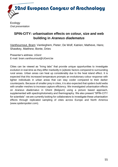

### **SPIN-CITY: urbanisation effects on colour, size and web building in** *Araneus diadematus*

Vanthournout, Bram; Vantieghem, Pieter; De Wolf, Katrien; Matheve, Hans; Shawkey, Matthew; Bonte, Dries

Presenter's address: *UGent* E-mail: bram.vanthournout@UGent.be

Cities can be viewed as "living labs" that provide unique opportunities to investigate evolution in real-time as they differ markedly in (a)biotic factors compared to surrounding rural areas. Urban areas can heat up considerably due to the heat island effect. It is expected that this increased temperature prompts an evolutionary colour response with lighter individuals in urban areas that can stay cooler compared to their darker counterparts. Because of smaller prey in cities, it is also expected that spiders build webs with smaller meshes to increase capture efficiency. We investigated urbanisation effects on *Araneus diadematus* in Ghent (Belgium) using a picture based approach, supplemented with spectrophotometry and thermography. We also present "SPIN-CITY for scientists": we are currently looking for collaborators to investigate these urbanisation effects through replicated sampling of cities across Europe and North America (www.spiderspotter.com).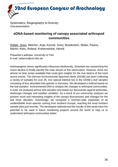Systematics, Biogeography & Diversity *Oral presentation*

#### **eDNA-based monitoring of canopy associated arthropod communities**

Weber, Sven; Melcher, Anja; Künzel, Sven; Broekmann, Rieke; Paulus, Martin; Klein, Roland; Krehenwinkel, Henrik

Presenter's address: *University of Trier* E-mail: webersv@uni-trier.de

Anthropogenic stress significantly influences biodiversity. Scientists are researching the insect decline to finally identify the main drivers of this observation. However, there are almost no time series available that could give insights for the true factors of the most recent events. The German Environmental Specimen Bank (GESB) has been collecting a variety of samples for over 35. Our special interest lies in the GESB`s leaf samples consisting of four abundant tree species in Germany. We developed a method based on the leaf samples´ environmental DNA to analyze the changes in arthropod communities. In total, we analyzed almost 400 samples and tested our discoveries against pesticides, landscape changes and weather variables. As a result of our community analyses we present novel and interesting insights of the canopy biocoenoses and changes for the last three decades. Surprisingly, we recognize a German-wide expansion of an unidentifiable Acari species coming from southern Europe, reaching the most northern sample sites just recently. The developed methods and the results of this study have the potential to be used in future monitoring projects around the world to help us to understand arthropod communities better.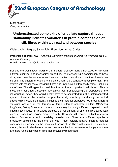

**Morphology** *Oral presentation*

# **Underestimated complexity of cribellate capture threads: stainability indicates variations in protein composition of silk fibres within a thread and between species**

Weissbach, Margret; Sistemich, Ellen; Joel, Anna-Christin

Presenter's address: *RWTH Aachen University, Institute of Biology II, Worringerweg 3, Aachen, Germany* E-mail: m.weissbach@bio2.rwth-aachen.de

Besides the well-known dragline silk, spiders produce many other types of silk with different chemical and mechanical properties. By interweaving a combination of these silks, even complex structures such as webs, attachment discs or capture threads can be built. The capture threads of cribellate spiders, e.g., consist of a complex multi-fibre system with thousands of individual fibres and up to seven different silk types - including nanofibres. The silk types involved thus form a fibre composite, in which each fibre is most likely assigned a specific mechanical task. For analysing the properties of the individual silk types, they would ideally have to be separated from their interconnected system. However, this is either not possible at all, or only by introducing mechanical stress, which would significantly influence their material properties. We present here a structural analysis of the threads of three different cribellate spiders (*Badumna longinqua*, *Deinopis subrufa*, *Uloborus plumipes*) by using different preparation and imaging techniques. In previous studies, the assignment of different fibre types was primarily based on varying diameters only. However, differences in light refraction effects, fluorescence and stainability revealed that fibres from different species previously assigned to the same silk type - must actually feature different material components. Considering the individual function of the fibres within a cribellate capture thread, this could also have an impact on the mechanical properties and imply that there are more functional types of fibre than previously recognised.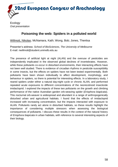

#### **Poisoning the web: Spiders in a polluted world**

Willmott, Nikolas; McNamara, Kath; Wong, Bob; Jones, Therésa

Presenter's address: *School of BioSciences, The University of Melbourne* E-mail: nwillmott@student.unimelb.edu.au

The presence of artificial light at night (ALAN) and the overuse of pesticides are independently implicated in the observed global declines of invertebrates. However, while these pollutants co-occur in disturbed environments, their interacting effects have not been well studied. There is evidence of circadian rhythms in pesticide susceptibility in some insects, but the effects on spiders have not been tested experimentally. Both pollutants have been shown individually to affect development, morphology, and behaviour in spiders, so there is potential for interesting effects. In a laboratory study, I reared spiders under either a natural day:night cycle or chronic ALAN, and performed repeated acute exposures to different concentrations of the neonicotinoid insecticide imidacloprid. I explored the impacts of these two pollutants on the growth and climbing performance of the native Australian garden orb-weaving spider (*Eriophora biapicata*). This nocturnal orb-weaver is widespread and abundant in a range of anthropogenically disturbed urban and agricultural habitats. I found that the effects of imidacloprid increased with increasing concentration, but the impacts interacted with exposure to ALAN. Pollutants rarely act alone in disturbed habitats, so these results highlight the importance of considering multiple stressors when assessing the biological consequences of pollutants. I discuss these results in the context of the natural history of *Eriophora biapicata* in urban habitats, with reference to several interesting aspects of their biology.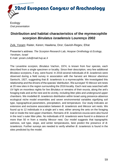

### **Distribution and habitat characteristics of the myrmecophile scorpion** *Birulatus israelensis* **Lourenço 2002**

Zvik, Yoram; Raiter, Keren; Hawlena, Dror; Gavish-Regev, Efrat

Presenter's address: *The Scorpion Research Lab, Hoopoe Ornithology & Ecology, Yeroham, Israel* E-mail: yoram.zvik@mail.huji.ac.il

The Levantine scorpion, *Birulatus* Vachon, 1974, is known from four species, each described from a single specimen or locality. Since their description, very few additional *Birulatus* scorpions, if any, were found. In 2016 several individuals of *B. israelensis* were observed during a field survey in association with the harvest ant *Messor ebeninus* Santschi, 1927, suggesting that *B. israelensis* is a myrmecophile. We investigated this relationship and the drivers of the species' distribution. We surveyed 10 *Messor* ant nests at 20 new sites in the region surrounding the 2016 locality. Each nest was searched with UV light on moonless nights for live *Birulatus* or remains of their exuvia, along the ant's foraging trails and at the nest and its vicinity, including litter piles and underground upper chambers. We modelled *B. israelensis* distribution within Israel using presence-absence ecological niche model ensembles and seven environmental variables signifying soil type, topographical parameters, precipitation, and temperature. Our study indicates an extensive and exclusive association between *B. israelensis* and *Messor* ant nests. We found up to 12 individuals in a single ant`s nest, either among the ants on the foraging trail or inside the nest upper chambers. Remains of *B. israelensis* exuvia were also found in the nest`s outer litter piles. No individuals of *B. israelensis* were found in a distance of more than 50 m from a nearby *Messor* nest. Our model suggests that topographic wetness, soil type, slope, and winter temperatures, best predict the presence of *B. israelensis*. Further surveys are needed to verify whether *B. israelensis* is found in the sites predicted by the model.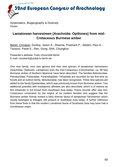Systematics, Biogeography & Diversity *Poster*

### **Laniatorean harvestmen (Arachnida: Opiliones) from mid-Cretaceous Burmese amber**

Bartel, Christian; Dunlop, Jason A.; Sharma, Prashant P.; Selden, Paul A.; Tarasov, Pavel E.; Ren, Dong; Shih, Chungkun

Presenter's address: *Freie Universität Berlin* E-mail: christianb@zedat.fu-berlin.de

One new family, nine new genera and nine new species of laniatorean harvestmen (Arachnida: Opiliones: Laniatores) from the mid-Cretaceous (Cenomanian, ca. 99 Ma) Burmese amber of Northern Myanmar have been described. The families Beloniscidae, Petrobunidae, Podoctidae, Pyramidopidae, Tithaeidae are recorded for the first time as fossils and an extinct family, Mesokanidae, has been recognised. Three new species are added to the family Epedanidae, which was previously known from Burmese amber. Two additional juveniles with Insidiatores affinities are also described, which is of interest as this Infraorder is not known from Southeast Asia today. These records offer new mid-Cretaceous constraints for the origins of six modern families and suggest that the Burmese amber forests hosted a fairly diverse fauna of laniatorean harvestmen which mostly belonged to lineages still present in Southeast Asia today. A further inference from these finds is that the modern Laniatores fauna of Southeast Asia may have had a Gondwanan origin.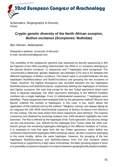Systematics, Biogeography & Diversity *Poster*

### **Cryptic genetic diversity of the North African scorpion,**  *Buthus occitanus* **(Scorpiones: Buthidae)**

Ben Othmen, Abdelwaheb

Presenter's address: *University of Monastir* E-mail: benothmentn@gmail.com

The variability of the cytoplasmic genome was assessed by directly sequencing a 304 bp fragment of the DNA encoding mitochondrial 16s rRNA in 11 scorpions belonging to the species *Buthus occitanus*: 11 sequences and 7 haplotypes were recognized. The "uncorrected p-distances" genetic distances vary between 0.3% and 4.3% between the different haplotypes of *Buthus occitanus*. The lowest value is recorded between the two haplotypes Buth06occitanus and Buth07occitanus and grouping the two scorpions of Telept. However, the highest divergence was recorded between the two haplotypes Buth04occitanus and Buth05occitanus, respectively defining the haplotypes of Kerkena and Djerba scorpions. We note that except for the two Telept specimens which each show a separate haplotype, the other specimens belonging to the different localities combine into a single haplotype. From 11 individualized sequences, 7 haplotypes were identified. These sequences were analyzed both by the parsimony method ("Branch and Bound" method; the number of haplotypes, in this case, is low, which allows the application of this method) and by the method. "Neighbor Joining" and always taking as an outgroup the 16S rRNA mitochondrial sequence of *Buthus occitanus* from Morocco for tree rooting. The two trees drawn from these sequences were identical. The majority consensus tree obtained by bootstrap analysis over 1000 iterations highlights two main branches: The first is defined by the haplotype of the Tunis specimen, the second, brings out two sub-branches: one, defined by the haplotype from Tozeur while the other subbranch groups the remaining haplotypes belonging to the different localities of Tunisia. It is important to note that apart from the two Telept specimens, which define two combined mitochondrial haplotypes (89% bootstrap value), all other scorpions belonging to the same locality, define the same haplotype. However, the grouping of the two haplotypes Buth02occitanus and Buth05occitanus from Kef and Kerkena Island respectively is supported by a high value of Bootstrap, the latter grouping argues in favor of a possibility of passive transport of scorpions between geographically distant localities.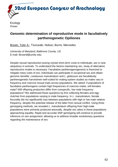

Ecology *Poster*

### **Genomic determination of reproductive mode in facultatively parthenogenetic Opiliones**

Brown, Tyler A.; Tsurusaki, Nobuo; Burns, Mercedes

*University of Maryland, Baltimore County, US* E-mail: tbrown8@umbc.edu

Despite sexual reproduction posing myriad short-term costs to individuals, sex is near ubiquitous in animals. To understand the factors maintaining sex, study of alternative reproductive modes is necessary. Facultative parthenogenogenesis is theorized to mitigate many costs of sex; individuals can participate in occasional sex and obtain genomic benefits. *Leiobunum manubriatum* and *L. globosum* are facultatively parthenogenetic harvestmen well-suited for mating system studies as males vary in frequency and coercive sexual traits across populations. We asked: if populations of facultative parthenogens contain high frequencies of coercive males, will females mate? Will offspring production differ from conspecific, low male frequency populations? We addressed these questions by first collecting females and egg clutches from populations varying in male frequency. In *L. manubriatum*, female fecundity did not significantly vary between populations with high or low male relative frequency, despite the potential release of the latter from sexual conflict. Using three genotyping methods, we revealed *L. manubriatum* offspring from high-male populations were primarily produced asexually, despite sex ratios in these populations approaching equality. Rapid and accurate SNP genotyping will continue to provide inference on sire assignment, allowing us to address broader evolutionary questions regarding the maintenance of sex.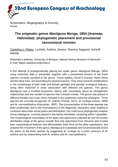Systematics, Biogeography & Diversity *Poster*

# **The enigmatic genus** *Mastigusa* **Menge, 1854 (Araneae, Hahniidae): phylogenetic placement and provisional taxonomical revision**

Castellucci, Filippo; Luchetti, Andrea; Jensen, Rasmus Aagaard; Scharff, **Nikolai** 

Presenter's address: *University of Bologna; Natural History Museum of Denmark* E-mail: filippo.castellucci2@unibo.it

A first attempt of phylogenetically placing the spider genus *Mastigusa* (Menge, 1854) using molecular data is presented, together with a provisional revision of the three species currently ascribed to the genus. These spiders, found in Europe, North Africa and the Near East, are fascinating for several reasons. They show extreme modifications in the morphology of both male and female genitalia and peculiar ecological features, being often observed in close association with different ant species. The genus *Mastigusa* had a troubled taxonomic history with uncertainty about its phylogenetic relationships and the number of species that it should include. The genus was placed in different families but it was never included in any published molecular phylogeny. Three species are currently recognized: *M. arietina* (Thorell, 1871), *M. lucifuga* (Simon, 1898) and *M. macrophthalma* (Kulczyński, 1897). The circumscription of the three species has been problematic due to the inconsistency of the diagnostic characters used, leading to confusion about their actual status and distribution. Our multi-locus phylogenetic analysis shows *Mastigusa*, currently placed in the family Hahniidae, clustering within Cybaeidae. The morphological examination of the types and specimens collected all over the known distribution range of the genus reveals that only specimens from Slovenia and Croatia bare morphological features that differentiates them from all the other populations. We propose the movement of the genus *Mastigusa* to Cybaeidae and we provisionally revise the status of the three species by suggesting *M. lucifuga* as a junior synonym of *M. arietina* and by redescribing both *M. arietina* and *M. macrophthalma*.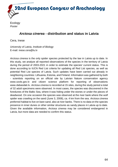

**Ecology** *Poster*

#### *Arctosa cinerea* **- distribution and status in Latvia**

Cera, Inese

*University of Latvia, Institute of Biology* E-mail: inese.cera@lu.lv

*Arctosa cinerea* is the only spider species protected by the law in Latvia up to date. In this study, we analyze all reported observations of the species in the territory of Latvia during the period of 2003-2021 in order to estimate the species' current status. This is done according to IUCN Red List criteria for updating all Red List species, as well as potential Red List species of Latvia. Such updates have been carried out already in neighboring countries: Lithuania, Estonia, and Finland. Information was gathered by both - scientists reporting on an official site by Latvian Nature conservation agency www.ozols.gov.lv and citizen science platform for reporting of observations www.dabasdati.lv. *Arctosa cinerea* is recorded at 15 sites, during the study period a total of 32 adult specimens were observed. In most cases, the species was discovered in the foredunes of the Baltic Sea, where it was hiding under the stones or under the pieces of deadwood. On one occasion the species was observed at the river bank where the wolf spider was crawling on the sand (June 3, 2008), ca. 4 km from the sea. *Arctosa cinerea* preferred habitat to live on bare sand, also at river banks. There is no data on the species presence in inner dunes or other similar structures as sandy places in Latvia up to date. Given the available information, *Arctosa cinerea* may be considered endangered in Latvia, but more data are needed to confirm this status.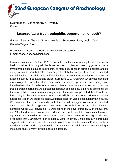Systematics, Biogeography & Diversity *Poster*

#### *Loxosceles***: a true troglophile, opportunist, or both?**

Ganem, Zeana; Aharon, Shlomi; Armiach Steinpress, Igor; Lubin, Yael; Gavish-Regev, Efrat

Presenter's address: *The Hebrew University of Jerusalem* E-mail: zeana3ganem@gmail.com

*Loxosceles rufescens* Dufour, 1820, is native to countries surrounding the Mediterranean basin. Outside of its original distribution range, *L. rufescens* was suggested to be a synanthropic species due to its proximity to man, occurrence in artificial habitats, and its ability to invade new habitats. In its original distribution range, it is found in shaded natural habitats, in addition to artificial habitats. Recently we conducted a thorough arachnid survey in 35 Levantine caves. Surprisingly, *L. rufescens*, which was identified morphologically, was the third most common spider species in our survey. We hypothesized that *L. rufescens* is an accidental cave visitor species, as it has no troglomorphic characters. As a potential opportunistic species, it might be able to utilize the cave habitat as a temporary shady refuge. Therefore, we predicted that it would be found only in the cave entrance, not in the twilight or dark zones. Moreover, as an accidental visitor, we predicted that it would not establish viable populations within caves. We compared the number of individuals found in all ecological zones in the sampled caves to test the first hypothesis. We found 116 individuals in 19 of the 35 caves sampled. Of the 116 individuals, 76 were found in the cave entrance, 63 in the twilight, and 13 in the dark zone. We also recorded dense, viable populations of males, females, egg-sacs, and juveniles in some of the caves. These results do not agree with our hypothesis that *L. rufescens* is an accidental visitor in caves. On the contrary, our results suggest that *L. rufescens* is a true cave troglophile in Levantine caves. Further study is needed to understand its opportunistic nature in caves. In addition, we are conducting a molecular study to verify cryptic-species existence.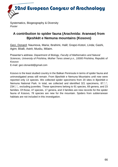Systematics, Biogeography & Diversity *Poster*

### **A contribution to spider fauna (Arachnida: Araneae) from Bjeshkët e Nemuna mountains (Kosovo)**

Geci, Donard; Naumova, Maria; Ibrahimi, Halil; Grapci-Kotori, Linda; Gashi, Agim; Bilalli, Astrit; Musliu, Milaim.

Presenter's address: *Department of Biology, Faculty of Mathematics and Natural Sciences, University of Prishtina, Mother Teres street p.n., 10000 Prishtina, Republic of Kosovo*

E-mail: geci.donardd@gmail.com

Kosovo is the least studied country in the Balkan Peninsula in terms of spider fauna and uninvestigated areas still remain. From Bjeshkët e Nemuna Mountains until now were reported only 13 species. We collected spider specimens from 20 sites in Bjeshkët e Nemuna National Park. In total, we collected and identified 321 specimens,  $87\textdegree\textdegree\textdegree$  $234\degree\degree$ , excluding juveniles. These specimens belong to 91 species, 69 genera, and 23 families. Of those, 47 species, 17 genera, and 3 families are new records for the spider fauna of Kosovo, 78 species are new for the mountain. Spiders from subterranean habitats are not included in this investigation.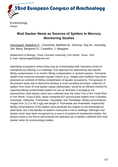

**Ecotoxicology** *Poster*

### **Mud Dauber Nests as Sources of Spiders in Mercury Monitoring Studies**

Hannappel, Madeline P.; Chumchal, Matthew M.; Drenner, Ray W.; Kennedy, Jim; Barst, Benjamin D.; Castellini, J. Margaret

*Department of Biology, Texas Christian University, Fort Worth, Texas, USA* E-mail: mphannappel2@gmail.com

Identifying ecosystems where biota may be contaminated with hazardous levels of methylmercury (MeHg) is a challenge. One approach for determining site‐specific MeHg contamination is to monitor MeHg contamination in sentinel species. Terrestrial spiders that consume emergent aquatic insects (e.g., midges and mayflies) have been proposed as sentinels of MeHg contamination of aquatic ecosystems. The purpose of the present study was to determine whether a novel sampling technique, collection of spiders from nests of mud dauber wasps (Sphecidae), would be an efficient method for capturing MeHg‐contaminated spiders for use as sentinels in ecological risk assessments. Mud dauber nests were collected near the Clear Fork of the Trinity River in Fort Worth, Texas (USA). Nests contained 627 unconsumed spiders from 5 families: Araneidae, Salticidae, Thomisidae, Oxyopidae, and Theridiidae. MeHg concentrations ranged from 12.2 to 56.3 ng/g wet weight in Thomisidae and Araenidae, respectively. MeHg concentrations of the spiders were generally low relative to risk thresholds for adult birds, but a few families of spiders could pose a risk to nestlings. Although mud dauber nests have been recognized as a source of spiders for biodiversity studies, the present study is the first to demonstrate the potential use of spiders collected from mud dauber nests for ecotoxicology studies.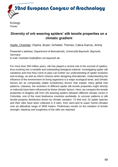

**Ecology** *Poster*

### **Diversity of orb weaving spiders' silk tensile properties on a climatic gradient**

Hopfe, Charlotte; Ospina, Bryan; Scheibel, Thomas; Cabra-García, Jimmy

Presenter's address: *Department of Biomaterials, Universität Bayreuth, Bayreuth, Germany* E-mail: charlotte.hopfe@bm.uni-bayreuth.de

For more than 350 million years, silk has played a central role in the survival of spiders, thus evolving into a variable and outstanding biological material. Investigating spider silk variations and how they come to pass can further our understanding of spider evolution and ecology, as well as inform choices when designing biomaterials. Understanding the influence of the environment on living organisms is a major ecological tenet, and climatic factors act as comparably stable evolutionary drivers that explain many global trait patterns. Likewise, the evolution of different spider silk tensile properties might directly or indirectly have been influenced by these climatic factors. Here, we compare the tensile properties of dragline silk from orb weaving spiders between different climatic zones in Colombia, one of the most biodiverse countries worldwide, to uncover patterns in silk tensile property distribution driven by climatic variation. To that end, 52 spider species and their silks have been collected in 8 sites, from semi-arid to super humid climates over an altitudinal range of 3500 meters. Preliminary results on the variation of tensile strength, elasticity and toughness of the silks are reported.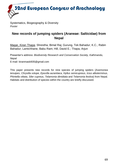Systematics, Biogeography & Diversity *Poster*

### **New records of jumping spiders (Araneae: Salticidae) from Nepal**

Magar, Kiran Thapa; Shrestha, Bimal Raj; Gurung, Tek Bahadur; K.C., Rabin Bahadur; Lamichhane, Babu Ram; Hill, David E.; Thapa, Arjun

Presenter's address: *Biodiversity Research and Conservation Society, Kathmandu, Nepal* E-mail: kiranmaski935@gmail.com

This paper presents new records for nine species of jumping spiders (A*semonea tenuipes*, *Chrysilla volupe*, *Epocilla aurantiaca*, *Hyllus semicupreus*, *Icius alboterminus*, *Phintella vittata*, *Siler cupreus*, *Telamonia dimidiata* and *Telamonia festiva*) from Nepal. Habitats and distribution of species within the country are briefly discussed.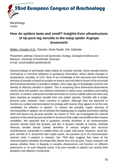

**Morphology** *Poster*

### **How do spiders taste and smell? Insights from ultrastructure of tip-pore leg sensilla in the wasp spider** *Argiope bruennichi*

Müller, Carsten H.G.; Ganske, Anne-Sarah; Uhl, Gabriele

Presenter's address: *General and Systematic Zoology, Zoological Institute and Museum, University of Greifswald, Germany* E-mail: carstmue@uni-greifswald.de

Sensory biology of arthropods relies mainly on cuticular sensilla. Some sensilla receive mechanical or chemical (olfactory or gustatory) information; others detect changes in temperature, humidity, or CO2. Most of our knowledge of the structural and functional diversity of sensilla is based on studies on insects and only little is known of the structural and functional diversity of sensilla in spiders. One major gap of knowledge concerns the identity of olfactory sensilla in spiders. This is surprising since behavioral observations clearly show that spiders use airborne chemicals to detect prey, predators and mating partners. In insects, wall-pored sensilla are known to receive volatile odors but have only been reported as singleton sensilla from one spider species. Sensilla with a single, terminal pore, however, seem common in spiders. Although they are assumed to function as contact-chemoreceptors by analogy with insects, they appear to be the only candidates for olfaction in spiders. To assess the possibly cryptic diversity of chemosensilla in spiders, we scrutinized the walking legs of *Argiope bruennichi* utilizing SEM and found only tip-pore sensilla. By means of TEM, we investigated the internal anatomy of the tarsal tip-pore sensilla for structures that might reveal differential receptor modalities. We expected that in gustatory sensilla dendrites of all chemoreceptor neurons should reach the tip-pore, just like in tip-pore sensilla of insects, whereas olfactory sensilla should contain dendrites of various lengths and structure (ramifications), accessible to volatile odors via cryptic wall pores. However, tarsal tippore sensilla of *A. bruennichi* lack cryptic pores, but possess up to 22 chemoreceptor neurons (only 4 present in insects). Our TEM data suggest that some of the chemoreceptive dendrites terminate little distant from the tip pore. Future research will assess whether there is disparity in sensilla ultrastructure and function on different podomeres or no such disparity exists, if tip pore sensilla in spiders can receive both gustatory and olfactory compounds.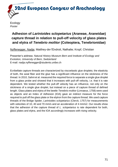

**Ecology** *Poster*

## **Adhesion of** *Larinioides sclopetarius* **(Araneae, Araneidae) capture thread in relation to pull-off velocity of glass plates and elytra of** *Tenebrio molitor* **(Coleoptera, Tenebrionidae)**

Nyffenegger, Nadja; Matthey-de-l'Endroit, Nathalie; Kropf, Christian

Presenter's address: *Natural History Museum Bern and Institute of Ecology and Evolution, University of Bern, Switzerland* E-mail: nadja.nyffenegger@students.unibe.ch

Ecribellate capture threads are characterized by viscoelastic glue droplets; the elasticity of both, the axial fiber and the glue has a significant influence on the stickiness of the thread. In 2010, Sahni et al. measured the required force to separate a single glue droplet from a glass probe and showed that it increases with pull-off velocity, i.e. that it is rate dependent. We tested whether the pull-off velocity has an influence, not only on the stickiness of a single glue droplet, but instead on a piece of capture thread of defined length. Glass plates and elytra of the beetle *Tenebrio molitor* (Linnaeus, 1758) were used as objects and an Index of Adhesion (IOA) gave an indirect measure for the force required to pull off the glass plate or the elytron from the capture thread. We used capture threads of the Bridge Spider, *Larinioides sclopetarius* (Clerck, 1757) for measurements with velocities of 10, 40 and 70 mm/s and an acceleration of 4 mm/s2. Our results show that the adhesion of the capture thread of *L. sclopetarius* is rate dependent for both, glass plates and elytra, and the IOA accordingly increases with rising velocity.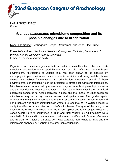

Evolutionary Biology *Poster*

### *Araneus diadematus* **microbiome composition and its possible changes due to urbanization**

Rose, Clémence; Bechsgaard, Jesper; Schramm, Andreas; Bilde, Trine

Presenter's address: *Section for Genetics, Ecology and Evolution, Department of Biology, Aarhus University, Aarhus, Denmark* E-mail: clemence.rose@bio.au.dk

Organisms harbour microorganisms that can sustain essential function to the host. Hostsymbionts association are shaped by the host but also influenced by the host's environment. Microbiome of various taxa has been shown to be affected by anthropogenic perturbation such as exposure to pesticide and heavy metals, climate change and habitat fragmentation. As urbanization integrates several of these environmental perturbations it can be predicted to affect host-symbionts interactions. Microbiome variation induced by urbanization may increase host phenotypic variation and thus contribute to host urban adaptation. A few studies have investigated urbanised population compared to rural population in birds and the impact of urbanization on microbiome vary according species, season and spatial scale. The garden spider *Araneus diadematus* (Araneae) is one of the most common species in both urban and non-urban orb web spider communities in western Europe making it a valuable model to study the effect of urbanization on spider's microbiome. The goal of this study is to describe the unknown microbiome of the garden spider and to investigate whether it varies according to its occurrence in urban and rural habitats. 20 adult females were sampled in 7 cities and in the associated rural area across Denmark, Sweden, Germany and Belgium for a total of 14 sites. DNA was extracted from whole animals and the microbiome analysed by 16sRNA gene amplicon sequencing.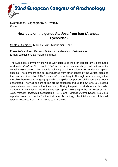32nd European Congress of Arachnology

Systematics, Biogeography & Diversity *Poster*

#### **New data on the genus** *Pardosa* **from Iran (Araneae, Lycosidae)**

Shafaie, Sepideh; Marusik, Yuri; Mirshamsi, Omid

Presenter's address: *Ferdowsi University of Mashhad, Mashhad, Iran* E-mail: sepideh.shafaie@alumni.um.ac.ir

The Lycosidae, commonly known as wolf spiders, is the sixth-largest family distributed worldwide. *Pardosa* C. L. Koch, 1847 is the most species-rich lycosid that currently contains 536 species. The genus is including small to medium size slender wolf spider species. The members can be distinguished from other genera by the vertical sides of the head and the ratio of AME diameter/clypeus height. Although Iran is amongst the most biodiverse countries geographically, the spider composition of the country is poorly understood. The wolf spiders of Iran are no exception and up to now, only 26 *Pardosa* species have been recorded for the country. During the period of study Iranian lycosids, we found a new species, *Pardosa karadagh* sp. n., belonging to the northwest of Iran. Also, *Pardosa caucasica* Ovtsharenko, 1979 and *Pardosa incerta* Nosek, 1905 are reported from the country for the first time. Accordingly, the total number of lycosid species recorded from Iran is raised to 73 species.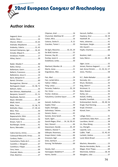32nd European Congress of Arachnology

# **Author index**

| Aagaard, Anne 13                 |
|----------------------------------|
|                                  |
| Aharon, Shlomi  14, 65           |
| Andrade, Maydianne 52            |
| Arabesky, Valeria  15, 45        |
| Armiach Steinpress, Igor  16, 65 |
| Arnedo, Miquel A. 35             |
| Arvidsson, Fredrik 17            |
|                                  |
|                                  |
| Bader, Maaike Y. 40              |
|                                  |
| Ballantyne, Gavin47              |
| Ballarin, Francesco18            |
| Ballesteros, Jesus A. 14         |
|                                  |
|                                  |
| Baumgartner, Werner41            |
| Bechsgaard, Jesper  13, 38, 72   |
| Bellvert, Adriá 35               |
| Ben Othmen, Abdelwaheb61         |
| Benjamin, Suresh P.  21, 51      |
| Beydizada, Narmin19              |
| Beyer, Michelle  20, 37          |
|                                  |
| Bilde, Trine 13, 38, 72          |
| Birkhofer, Klaus 17, 39, 43      |
|                                  |
| Bonte, Dries 55                  |
| Bopearachchi, Dilini 21          |
| Broekmann, Rieke56               |
|                                  |
| Buchberger, Gerda41              |
| Burns, Mercedes62                |
| Cabra-García, Jimmy68            |
| Calatayud-Mascarell, Arnau35     |
| Cardoso, Pedro 44                |
| Castanheira, Pedro de S. 22      |
| Castellini, J. Margaret 67       |
|                                  |

Cera, Inese .....................................64 Chatzaki, Maria ..............................44 Chee, Beatrice................................27

| Chipman, Ariel 16       |  |
|-------------------------|--|
| Chumchal, Matthew M. 67 |  |
| Cohen, Mira 16          |  |
| Cotoras, Darko D9, 22   |  |
| Czaczkes, Tomer J. 20   |  |
|                         |  |

| De Agrò, Massimo 10, 25, 29 |  |
|-----------------------------|--|
| De Wolf, Katrien 55         |  |
|                             |  |
|                             |  |
| Dušátková, Lenka 30         |  |

| Eberhard, Monika J.B. 23 |  |
|--------------------------|--|
|                          |  |
| Enguídanos, Alba 35      |  |

| Faiz, Lariab Zahra 24        |  |
|------------------------------|--|
| Fakhar-i-Abbas 24            |  |
|                              |  |
| Ferrante, Federico  25, 29   |  |
|                              |  |
| Fischer, Andreas27           |  |
| Fukushima, Caroline Sayuri44 |  |
|                              |  |

| Gainett, Guilherme 14              |  |
|------------------------------------|--|
|                                    |  |
| Gajski, Domagoj 28                 |  |
| Galinskaya, Tatiana50              |  |
|                                    |  |
| Ganske, Anne-Sarah70               |  |
|                                    |  |
| Gavish-Regev, Efrat 14, 16, 59, 65 |  |
|                                    |  |
| Giacomazzi, Davide  25, 29         |  |
| Gibbons, Alastair T. 44            |  |
| Gillespie, Rosemary49              |  |
|                                    |  |
| Gravesen, Eigil 30                 |  |
| Gries, Gerhard 27                  |  |
| Gurung, Tek Bahadur 69             |  |
|                                    |  |
|                                    |  |

| Hacala, Axel 31         |  |
|-------------------------|--|
| Hannappel, Madeline P67 |  |
| Harms, Danilo 39        |  |

| Harzsch, Steffen54                  |
|-------------------------------------|
| Hawlena, Dror 14, 59                |
|                                     |
| Heitz, Johannes 41                  |
| Henriques, Sergio44                 |
|                                     |
|                                     |
|                                     |
|                                     |
| Isaia, Marco  44, 46                |
|                                     |
|                                     |
| Jensen, Rasmus Aagaard63            |
| Joel, Anna-Christin  11, 32, 41, 57 |
| Jones, Therésa 58                   |
|                                     |
| K.C., Rabin Bahadur 69              |
|                                     |
| Khum, Warbota33                     |
|                                     |
|                                     |
| Klein, Roland56                     |
|                                     |
| Košulič, Ondřej 33                  |
| Kovařík, František26                |
| Krehenwinkel, Henrik 39, 49, 56     |
| Krogh, Paul Henning30               |
| Kropf, Christian71                  |
| Künzel, Sven56                      |
|                                     |
| Lafage, Denis31                     |
| Lamichhane, Babu Ram69              |
| Lauridsen, Astrid 38                |
| Lin, Shou-Wang36                    |
|                                     |
| Lopardo, Lara36                     |
| Lubin, Yael 15, 45, 65              |
|                                     |
| Lund, Marie Braad 13                |
|                                     |
| Machnis, Alexandra 23               |
| Macías-Hernández, Nuria44           |
| Magar, Kiran Thapa69                |
| Mammola, Stefano  18, 44            |
| Mangliers, Julia 37                 |